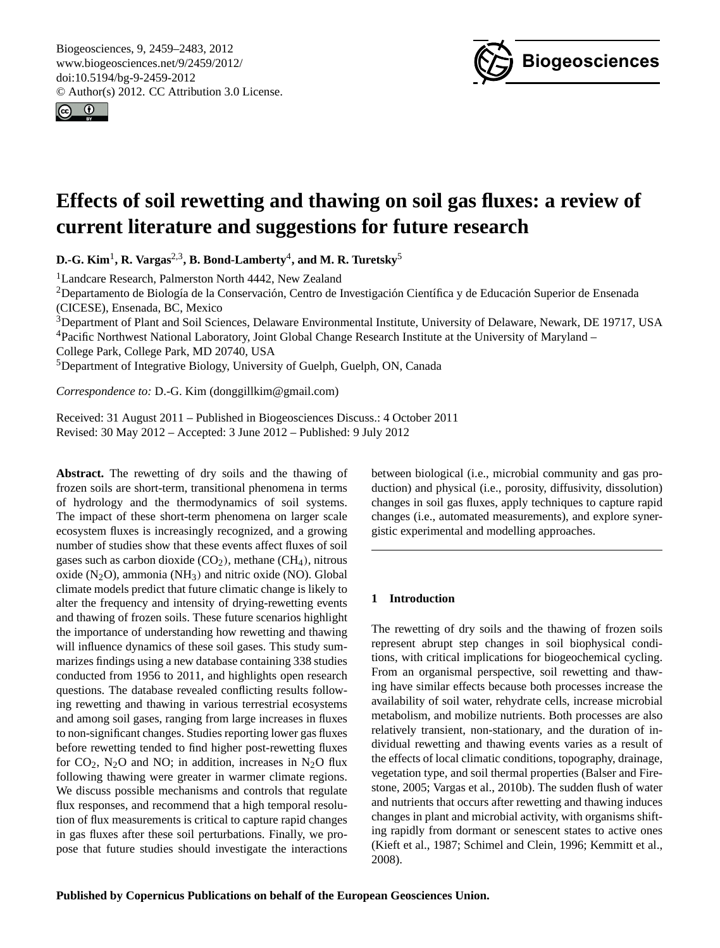<span id="page-0-0"></span>Biogeosciences, 9, 2459–2483, 2012 www.biogeosciences.net/9/2459/2012/ doi:10.5194/bg-9-2459-2012 © Author(s) 2012. CC Attribution 3.0 License.





# **Effects of soil rewetting and thawing on soil gas fluxes: a review of current literature and suggestions for future research**

**D.-G. Kim**<sup>1</sup> **, R. Vargas**2,3**, B. Bond-Lamberty**<sup>4</sup> **, and M. R. Turetsky**<sup>5</sup>

<sup>1</sup> Landcare Research, Palmerston North 4442, New Zealand

<sup>2</sup>Departamento de Biología de la Conservación, Centro de Investigación Científica y de Educación Superior de Ensenada (CICESE), Ensenada, BC, Mexico

<sup>3</sup>Department of Plant and Soil Sciences, Delaware Environmental Institute, University of Delaware, Newark, DE 19717, USA <sup>4</sup>Pacific Northwest National Laboratory, Joint Global Change Research Institute at the University of Maryland –

College Park, College Park, MD 20740, USA

<sup>5</sup>Department of Integrative Biology, University of Guelph, Guelph, ON, Canada

*Correspondence to:* D.-G. Kim (donggillkim@gmail.com)

Received: 31 August 2011 – Published in Biogeosciences Discuss.: 4 October 2011 Revised: 30 May 2012 – Accepted: 3 June 2012 – Published: 9 July 2012

**Abstract.** The rewetting of dry soils and the thawing of frozen soils are short-term, transitional phenomena in terms of hydrology and the thermodynamics of soil systems. The impact of these short-term phenomena on larger scale ecosystem fluxes is increasingly recognized, and a growing number of studies show that these events affect fluxes of soil gases such as carbon dioxide  $(CO<sub>2</sub>)$ , methane  $(CH<sub>4</sub>)$ , nitrous oxide  $(N_2O)$ , ammonia  $(NH_3)$  and nitric oxide  $(NO)$ . Global climate models predict that future climatic change is likely to alter the frequency and intensity of drying-rewetting events and thawing of frozen soils. These future scenarios highlight the importance of understanding how rewetting and thawing will influence dynamics of these soil gases. This study summarizes findings using a new database containing 338 studies conducted from 1956 to 2011, and highlights open research questions. The database revealed conflicting results following rewetting and thawing in various terrestrial ecosystems and among soil gases, ranging from large increases in fluxes to non-significant changes. Studies reporting lower gas fluxes before rewetting tended to find higher post-rewetting fluxes for  $CO_2$ , N<sub>2</sub>O and NO; in addition, increases in N<sub>2</sub>O flux following thawing were greater in warmer climate regions. We discuss possible mechanisms and controls that regulate flux responses, and recommend that a high temporal resolution of flux measurements is critical to capture rapid changes in gas fluxes after these soil perturbations. Finally, we propose that future studies should investigate the interactions between biological (i.e., microbial community and gas production) and physical (i.e., porosity, diffusivity, dissolution) changes in soil gas fluxes, apply techniques to capture rapid changes (i.e., automated measurements), and explore synergistic experimental and modelling approaches.

## **1 Introduction**

The rewetting of dry soils and the thawing of frozen soils represent abrupt step changes in soil biophysical conditions, with critical implications for biogeochemical cycling. From an organismal perspective, soil rewetting and thawing have similar effects because both processes increase the availability of soil water, rehydrate cells, increase microbial metabolism, and mobilize nutrients. Both processes are also relatively transient, non-stationary, and the duration of individual rewetting and thawing events varies as a result of the effects of local climatic conditions, topography, drainage, vegetation type, and soil thermal properties (Balser and Firestone, 2005; Vargas et al., 2010b). The sudden flush of water and nutrients that occurs after rewetting and thawing induces changes in plant and microbial activity, with organisms shifting rapidly from dormant or senescent states to active ones (Kieft et al., 1987; Schimel and Clein, 1996; Kemmitt et al., 2008).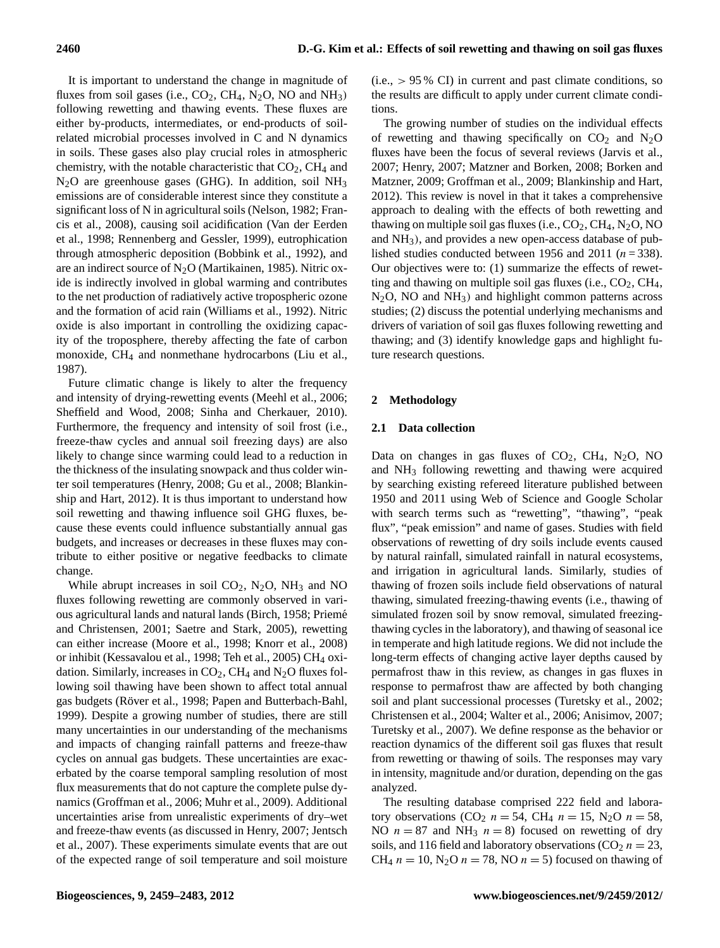It is important to understand the change in magnitude of fluxes from soil gases (i.e.,  $CO_2$ ,  $CH_4$ ,  $N_2O$ , NO and  $NH_3$ ) following rewetting and thawing events. These fluxes are either by-products, intermediates, or end-products of soilrelated microbial processes involved in C and N dynamics in soils. These gases also play crucial roles in atmospheric chemistry, with the notable characteristic that  $CO<sub>2</sub>$ ,  $CH<sub>4</sub>$  and  $N<sub>2</sub>O$  are greenhouse gases (GHG). In addition, soil  $NH<sub>3</sub>$ emissions are of considerable interest since they constitute a significant loss of N in agricultural soils (Nelson, 1982; Francis et al., 2008), causing soil acidification (Van der Eerden et al., 1998; Rennenberg and Gessler, 1999), eutrophication through atmospheric deposition (Bobbink et al., 1992), and are an indirect source of  $N<sub>2</sub>O$  (Martikainen, 1985). Nitric oxide is indirectly involved in global warming and contributes to the net production of radiatively active tropospheric ozone and the formation of acid rain (Williams et al., 1992). Nitric oxide is also important in controlling the oxidizing capacity of the troposphere, thereby affecting the fate of carbon monoxide, CH<sup>4</sup> and nonmethane hydrocarbons (Liu et al., 1987).

Future climatic change is likely to alter the frequency and intensity of drying-rewetting events (Meehl et al., 2006; Sheffield and Wood, 2008; Sinha and Cherkauer, 2010). Furthermore, the frequency and intensity of soil frost (i.e., freeze-thaw cycles and annual soil freezing days) are also likely to change since warming could lead to a reduction in the thickness of the insulating snowpack and thus colder winter soil temperatures (Henry, 2008; Gu et al., 2008; Blankinship and Hart, 2012). It is thus important to understand how soil rewetting and thawing influence soil GHG fluxes, because these events could influence substantially annual gas budgets, and increases or decreases in these fluxes may contribute to either positive or negative feedbacks to climate change.

While abrupt increases in soil  $CO<sub>2</sub>$ , N<sub>2</sub>O, NH<sub>3</sub> and NO fluxes following rewetting are commonly observed in various agricultural lands and natural lands (Birch, 1958; Prieme´ and Christensen, 2001; Saetre and Stark, 2005), rewetting can either increase (Moore et al., 1998; Knorr et al., 2008) or inhibit (Kessavalou et al., 1998; Teh et al., 2005) CH<sup>4</sup> oxidation. Similarly, increases in  $CO<sub>2</sub>$ , CH<sub>4</sub> and N<sub>2</sub>O fluxes following soil thawing have been shown to affect total annual gas budgets (Röver et al., 1998; Papen and Butterbach-Bahl, 1999). Despite a growing number of studies, there are still many uncertainties in our understanding of the mechanisms and impacts of changing rainfall patterns and freeze-thaw cycles on annual gas budgets. These uncertainties are exacerbated by the coarse temporal sampling resolution of most flux measurements that do not capture the complete pulse dynamics (Groffman et al., 2006; Muhr et al., 2009). Additional uncertainties arise from unrealistic experiments of dry–wet and freeze-thaw events (as discussed in Henry, 2007; Jentsch et al., 2007). These experiments simulate events that are out of the expected range of soil temperature and soil moisture  $(i.e., > 95\% \text{ CI})$  in current and past climate conditions, so the results are difficult to apply under current climate conditions.

The growing number of studies on the individual effects of rewetting and thawing specifically on  $CO<sub>2</sub>$  and  $N<sub>2</sub>O$ fluxes have been the focus of several reviews (Jarvis et al., 2007; Henry, 2007; Matzner and Borken, 2008; Borken and Matzner, 2009; Groffman et al., 2009; Blankinship and Hart, 2012). This review is novel in that it takes a comprehensive approach to dealing with the effects of both rewetting and thawing on multiple soil gas fluxes (i.e.,  $CO_2$ ,  $CH_4$ ,  $N_2O$ , NO and NH3), and provides a new open-access database of published studies conducted between 1956 and 2011 ( $n = 338$ ). Our objectives were to: (1) summarize the effects of rewetting and thawing on multiple soil gas fluxes (i.e.,  $CO<sub>2</sub>$ ,  $CH<sub>4</sub>$ ,  $N<sub>2</sub>O$ , NO and  $NH<sub>3</sub>$ ) and highlight common patterns across studies; (2) discuss the potential underlying mechanisms and drivers of variation of soil gas fluxes following rewetting and thawing; and (3) identify knowledge gaps and highlight future research questions.

# **2 Methodology**

## **2.1 Data collection**

Data on changes in gas fluxes of  $CO<sub>2</sub>$ ,  $CH<sub>4</sub>$ , N<sub>2</sub>O, NO and NH<sup>3</sup> following rewetting and thawing were acquired by searching existing refereed literature published between 1950 and 2011 using Web of Science and Google Scholar with search terms such as "rewetting", "thawing", "peak flux", "peak emission" and name of gases. Studies with field observations of rewetting of dry soils include events caused by natural rainfall, simulated rainfall in natural ecosystems, and irrigation in agricultural lands. Similarly, studies of thawing of frozen soils include field observations of natural thawing, simulated freezing-thawing events (i.e., thawing of simulated frozen soil by snow removal, simulated freezingthawing cycles in the laboratory), and thawing of seasonal ice in temperate and high latitude regions. We did not include the long-term effects of changing active layer depths caused by permafrost thaw in this review, as changes in gas fluxes in response to permafrost thaw are affected by both changing soil and plant successional processes (Turetsky et al., 2002; Christensen et al., 2004; Walter et al., 2006; Anisimov, 2007; Turetsky et al., 2007). We define response as the behavior or reaction dynamics of the different soil gas fluxes that result from rewetting or thawing of soils. The responses may vary in intensity, magnitude and/or duration, depending on the gas analyzed.

The resulting database comprised 222 field and laboratory observations (CO<sub>2</sub>  $n = 54$ , CH<sub>4</sub>  $n = 15$ , N<sub>2</sub>O  $n = 58$ , NO  $n = 87$  and NH<sub>3</sub>  $n = 8$ ) focused on rewetting of dry soils, and 116 field and laboratory observations  $(CO_2 n = 23)$ , CH<sub>4</sub>  $n = 10$ , N<sub>2</sub>O  $n = 78$ , NO  $n = 5$ ) focused on thawing of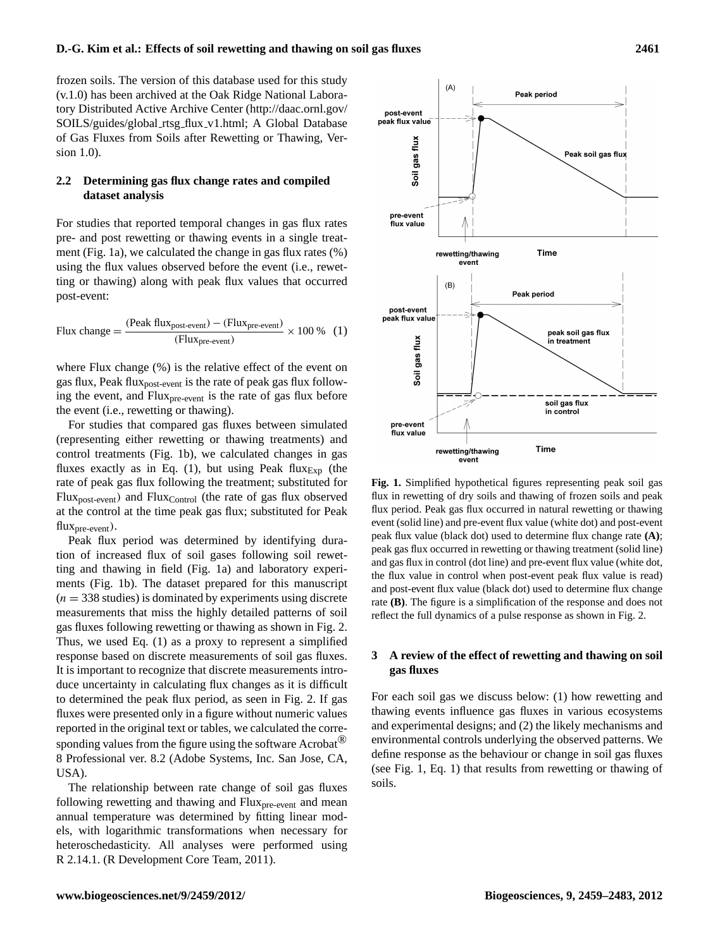frozen soils. The version of this database used for this study (v.1.0) has been archived at the Oak Ridge National Laboratory Distributed Active Archive Center [\(http://daac.ornl.gov/](http://daac.ornl.gov/SOILS/guides/global_rtsg_flux_v1.html) [SOILS/guides/global](http://daac.ornl.gov/SOILS/guides/global_rtsg_flux_v1.html) rtsg flux v1.html; A Global Database of Gas Fluxes from Soils after Rewetting or Thawing, Version 1.0).

# **2.2 Determining gas flux change rates and compiled dataset analysis**

For studies that reported temporal changes in gas flux rates pre- and post rewetting or thawing events in a single treatment (Fig. 1a), we calculated the change in gas flux rates (%) using the flux values observed before the event (i.e., rewetting or thawing) along with peak flux values that occurred post-event:

Flux change = 
$$
\frac{(Peak flux_{post-event}) - (Flux_{pre-event})}{(Flux_{pre-event})} \times 100\% \quad (1)
$$

where Flux change (%) is the relative effect of the event on gas flux, Peak flux<sub>post-event</sub> is the rate of peak gas flux following the event, and Flux<sub>pre-event</sub> is the rate of gas flux before the event (i.e., rewetting or thawing).

For studies that compared gas fluxes between simulated (representing either rewetting or thawing treatments) and control treatments (Fig. 1b), we calculated changes in gas fluxes exactly as in Eq. (1), but using Peak flux $_{Exp}$  (the rate of peak gas flux following the treatment; substituted for Flux<sub>post-event</sub>) and Flux<sub>Control</sub> (the rate of gas flux observed at the control at the time peak gas flux; substituted for Peak  $flux<sub>pre-event</sub>$ ).

Peak flux period was determined by identifying duration of increased flux of soil gases following soil rewetting and thawing in field (Fig. 1a) and laboratory experiments (Fig. 1b). The dataset prepared for this manuscript  $(n = 338$  studies) is dominated by experiments using discrete measurements that miss the highly detailed patterns of soil gas fluxes following rewetting or thawing as shown in Fig. 2. Thus, we used Eq. (1) as a proxy to represent a simplified response based on discrete measurements of soil gas fluxes. It is important to recognize that discrete measurements introduce uncertainty in calculating flux changes as it is difficult to determined the peak flux period, as seen in Fig. 2. If gas fluxes were presented only in a figure without numeric values reported in the original text or tables, we calculated the corresponding values from the figure using the software Acrobat<sup>®</sup> 8 Professional ver. 8.2 (Adobe Systems, Inc. San Jose, CA, USA).

The relationship between rate change of soil gas fluxes following rewetting and thawing and  $Flux<sub>pre-event</sub>$  and mean annual temperature was determined by fitting linear models, with logarithmic transformations when necessary for heteroschedasticity. All analyses were performed using R 2.14.1. (R Development Core Team, 2011).



**Fig. 1.** Simplified hypothetical figures representing peak soil gas flux in rewetting of dry soils and thawing of frozen soils and peak flux period. Peak gas flux occurred in natural rewetting or thawing event (solid line) and pre-event flux value (white dot) and post-event peak flux value (black dot) used to determine flux change rate **(A)**; peak gas flux occurred in rewetting or thawing treatment (solid line) and gas flux in control (dot line) and pre-event flux value (white dot, the flux value in control when post-event peak flux value is read) and post-event flux value (black dot) used to determine flux change rate **(B)**. The figure is a simplification of the response and does not reflect the full dynamics of a pulse response as shown in Fig. 2.

# **3 A review of the effect of rewetting and thawing on soil gas fluxes**

For each soil gas we discuss below: (1) how rewetting and thawing events influence gas fluxes in various ecosystems and experimental designs; and (2) the likely mechanisms and environmental controls underlying the observed patterns. We define response as the behaviour or change in soil gas fluxes (see Fig. 1, Eq. 1) that results from rewetting or thawing of soils.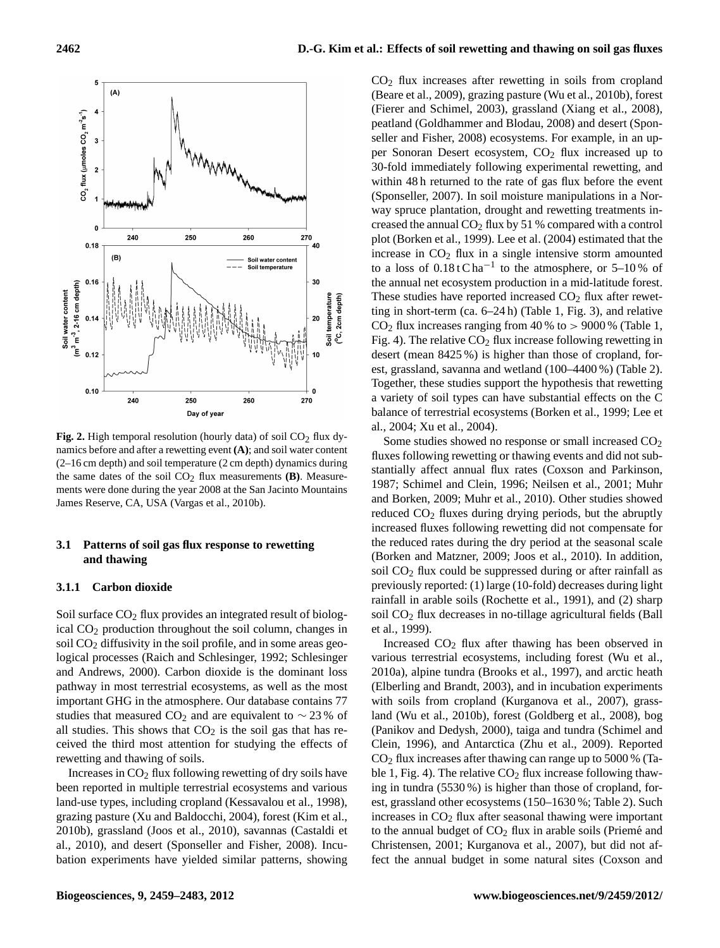

**Fig. 2.** High temporal resolution (hourly data) of soil  $CO<sub>2</sub>$  flux dynamics before and after a rewetting event **(A)**; and soil water content (2–16 cm depth) and soil temperature (2 cm depth) dynamics during the same dates of the soil  $CO<sub>2</sub>$  flux measurements **(B)**. Measurements were done during the year 2008 at the San Jacinto Mountains James Reserve, CA, USA (Vargas et al., 2010b).

#### **3.1 Patterns of soil gas flux response to rewetting and thawing**

#### **3.1.1 Carbon dioxide**

Soil surface  $CO<sub>2</sub>$  flux provides an integrated result of biological CO<sup>2</sup> production throughout the soil column, changes in soil  $CO<sub>2</sub>$  diffusivity in the soil profile, and in some areas geological processes (Raich and Schlesinger, 1992; Schlesinger and Andrews, 2000). Carbon dioxide is the dominant loss pathway in most terrestrial ecosystems, as well as the most important GHG in the atmosphere. Our database contains 77 studies that measured CO<sub>2</sub> and are equivalent to  $\sim$  23 % of all studies. This shows that  $CO<sub>2</sub>$  is the soil gas that has received the third most attention for studying the effects of rewetting and thawing of soils.

Increases in  $CO<sub>2</sub>$  flux following rewetting of dry soils have been reported in multiple terrestrial ecosystems and various land-use types, including cropland (Kessavalou et al., 1998), grazing pasture (Xu and Baldocchi, 2004), forest (Kim et al., 2010b), grassland (Joos et al., 2010), savannas (Castaldi et al., 2010), and desert (Sponseller and Fisher, 2008). Incubation experiments have yielded similar patterns, showing  $CO<sub>2</sub>$  flux increases after rewetting in soils from cropland (Beare et al., 2009), grazing pasture (Wu et al., 2010b), forest (Fierer and Schimel, 2003), grassland (Xiang et al., 2008), peatland (Goldhammer and Blodau, 2008) and desert (Sponseller and Fisher, 2008) ecosystems. For example, in an upper Sonoran Desert ecosystem, CO<sub>2</sub> flux increased up to 30-fold immediately following experimental rewetting, and within 48 h returned to the rate of gas flux before the event (Sponseller, 2007). In soil moisture manipulations in a Norway spruce plantation, drought and rewetting treatments increased the annual  $CO<sub>2</sub>$  flux by 51 % compared with a control plot (Borken et al., 1999). Lee et al. (2004) estimated that the increase in  $CO<sub>2</sub>$  flux in a single intensive storm amounted to a loss of  $0.18$ t C ha<sup>-1</sup> to the atmosphere, or 5–10% of the annual net ecosystem production in a mid-latitude forest. These studies have reported increased  $CO<sub>2</sub>$  flux after rewetting in short-term (ca. 6–24 h) (Table 1, Fig. 3), and relative  $CO<sub>2</sub>$  flux increases ranging from 40 % to  $> 9000$  % (Table 1, Fig. 4). The relative  $CO<sub>2</sub>$  flux increase following rewetting in desert (mean 8425 %) is higher than those of cropland, forest, grassland, savanna and wetland (100–4400 %) (Table 2). Together, these studies support the hypothesis that rewetting a variety of soil types can have substantial effects on the C balance of terrestrial ecosystems (Borken et al., 1999; Lee et al., 2004; Xu et al., 2004).

Some studies showed no response or small increased  $CO<sub>2</sub>$ fluxes following rewetting or thawing events and did not substantially affect annual flux rates (Coxson and Parkinson, 1987; Schimel and Clein, 1996; Neilsen et al., 2001; Muhr and Borken, 2009; Muhr et al., 2010). Other studies showed reduced CO<sub>2</sub> fluxes during drying periods, but the abruptly increased fluxes following rewetting did not compensate for the reduced rates during the dry period at the seasonal scale (Borken and Matzner, 2009; Joos et al., 2010). In addition, soil  $CO<sub>2</sub>$  flux could be suppressed during or after rainfall as previously reported: (1) large (10-fold) decreases during light rainfall in arable soils (Rochette et al., 1991), and (2) sharp soil CO<sub>2</sub> flux decreases in no-tillage agricultural fields (Ball et al., 1999).

Increased  $CO<sub>2</sub>$  flux after thawing has been observed in various terrestrial ecosystems, including forest (Wu et al., 2010a), alpine tundra (Brooks et al., 1997), and arctic heath (Elberling and Brandt, 2003), and in incubation experiments with soils from cropland (Kurganova et al., 2007), grassland (Wu et al., 2010b), forest (Goldberg et al., 2008), bog (Panikov and Dedysh, 2000), taiga and tundra (Schimel and Clein, 1996), and Antarctica (Zhu et al., 2009). Reported  $CO<sub>2</sub>$  flux increases after thawing can range up to 5000 % (Table 1, Fig. 4). The relative  $CO<sub>2</sub>$  flux increase following thawing in tundra (5530 %) is higher than those of cropland, forest, grassland other ecosystems (150–1630 %; Table 2). Such increases in  $CO<sub>2</sub>$  flux after seasonal thawing were important to the annual budget of  $CO<sub>2</sub>$  flux in arable soils (Priemé and Christensen, 2001; Kurganova et al., 2007), but did not affect the annual budget in some natural sites (Coxson and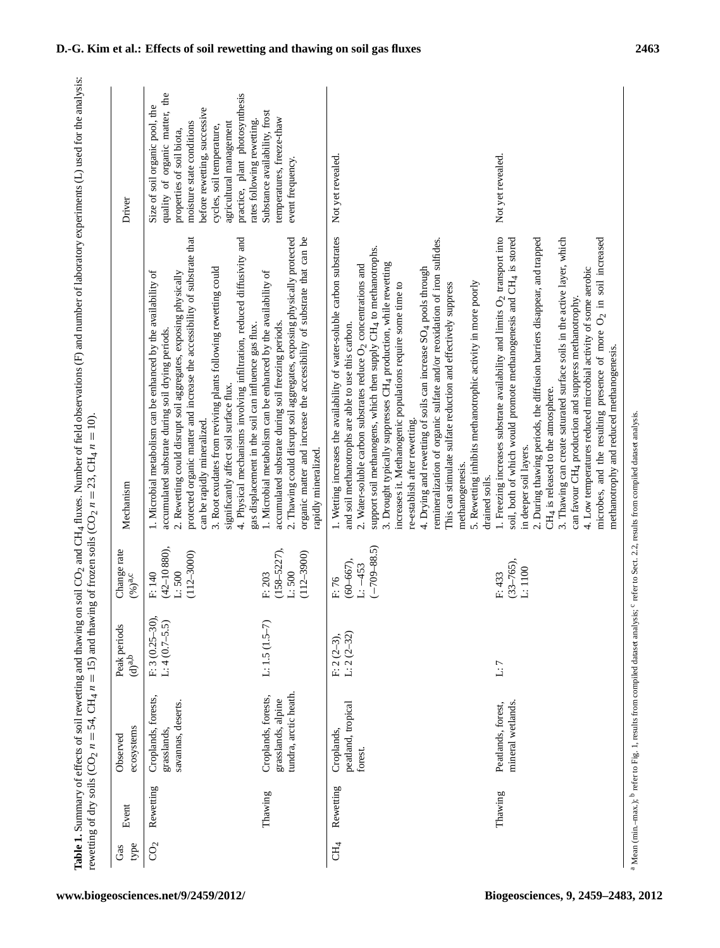| refere (E) and number of laborator<br>$\sim$ 1 $\sim$ $\sim$ $\sim$ $\sim$ $\sim$ $\sim$ $\sim$<br>֖֖֖֚֚֚֚֚֚֚֚֚֚֚֚֚֚֚֚֚֚֚֚֚֚֚֚֚֚֚֡֬֝֟֓֡֞֝֬֝֓֝֝֬֝֓֝֬֝֬֝֬֝֓֬֝֬֝֬<br>ì<br>iii Frint Albert Control of the Sun of the Sun of the Sun of the Sun of the Sun of the Sun of the Sun of the Sun of the Sun of the Sun of the Sun of the Sun of the Sun of the Sun of the Sun of the Sun of the Sun of the Sun<br><br>١ | $\sqrt{2}n = 23$ , CH <sub>4</sub> $n = 10$ ).<br>----------<br>î<br>$CLH_4 n = 15$<br>i<br>i<br>L<br>$\zeta = \eta$ |
|----------------------------------------------------------------------------------------------------------------------------------------------------------------------------------------------------------------------------------------------------------------------------------------------------------------------------------------------------------------------------------------------------------------|----------------------------------------------------------------------------------------------------------------------|
|                                                                                                                                                                                                                                                                                                                                                                                                                | i                                                                                                                    |

|                       |           | rewetting of dry soils (CO <sub>2</sub> $n = 54$ , CH <sub>4</sub> $n = 15$ ) and thaw |                                    |                                                       | Table 1. Summary of effects of soil rewetting and thawing on soil CO <sub>2</sub> and CH <sub>4</sub> fluxes. Number of field observations (F) and number of laboratory experiments (L) used for the analysis:<br>ing of frozen soils (CO <sub>2</sub> $n = 23$ , CH <sub>4</sub> $n = 10$ )                                                                                                                                                                                                                                                                                                                                                                                                                                                                                              |                                                                                                                                                                                                                                                                                    |
|-----------------------|-----------|----------------------------------------------------------------------------------------|------------------------------------|-------------------------------------------------------|-------------------------------------------------------------------------------------------------------------------------------------------------------------------------------------------------------------------------------------------------------------------------------------------------------------------------------------------------------------------------------------------------------------------------------------------------------------------------------------------------------------------------------------------------------------------------------------------------------------------------------------------------------------------------------------------------------------------------------------------------------------------------------------------|------------------------------------------------------------------------------------------------------------------------------------------------------------------------------------------------------------------------------------------------------------------------------------|
| type<br>Gas           | Event     | ecosystems<br>Observed                                                                 | Peak periods<br>$(d)^{a,b}$        | Change rate<br>$(\%)^{a,c}$                           | Mechanism                                                                                                                                                                                                                                                                                                                                                                                                                                                                                                                                                                                                                                                                                                                                                                                 | Driver                                                                                                                                                                                                                                                                             |
| $\mathbf{C}^{\prime}$ | Rewetting | Croplands, forests,<br>savannas, deserts.<br>grasslands,                               | $F: 3(0.25-30)$<br>$L: 4(0.7-5.5)$ | $(42 - 10880)$ ,<br>$(112 - 3000)$<br>L:500<br>F: 140 | protected organic matter and increase the accessibility of substrate that<br>4. Physical mechanisms involving infiltration, reduced diffusivity and<br>3. Root exudates from reviving plants following rewetting could<br>1. Microbial metabolism can be enhanced by the availability of<br>2. Rewetting could disrupt soil aggregates, exposing physically<br>gas displacement in the soil can influence gas flux.<br>accumulated substrate during soil drying periods.<br>significantly affect soil surface flux.<br>can be rapidly mineralized.                                                                                                                                                                                                                                        | quality of organic matter, the<br>practice, plant photosynthesis<br>Size of soil organic pool, the<br>before rewetting, successive<br>rates following rewetting.<br>moisture state conditions<br>agricultural management<br>cycles, soil temperature,<br>properties of soil biota, |
|                       | Thawing   | tundra, arctic heath<br>Croplands, forests,<br>grasslands, alpine                      | $L: 1.5 (1.5-7)$                   | $(158 - 5227),$<br>$(112 - 3900)$<br>L:500<br>F: 203  | 2. Thawing could disrupt soil aggregates, exposing physically protected<br>organic matter and increase the accessibility of substrate that can be<br>1. Microbial metabolism can be enhanced by the availability of<br>accumulated substrate during soil freezing periods.<br>rapidly mineralized.                                                                                                                                                                                                                                                                                                                                                                                                                                                                                        | Substance availability, frost<br>temperatures, freeze-thaw<br>event frequency.                                                                                                                                                                                                     |
| CH <sub>4</sub>       | Rewetting | peatland, tropical<br>Croplands,<br>forest                                             | $L: 2(2-32)$<br>$F: 2(2-3),$       | $(-709 - 88.5)$<br>$(60 - 667),$<br>$L: -453$<br>F:76 | 1. Wetting increases the availability of water-soluble carbon substrates<br>remineralization of organic sulfate and/or reoxidation of iron sulfides.<br>support soil methanogens, which then supply CH4 to methanotrophs.<br>3. Drought typically suppresses CH <sub>4</sub> production, while rewetting<br>2. Water-soluble carbon substrates reduce $O2$ concentrations and<br>4. Drying and rewetting of soils can increase SO <sub>4</sub> pools through<br>5. Rewetting inhibits methanotrophic activity in more poorly<br>This can stimulate sulfate reduction and effectively suppress<br>increases it. Methanogenic populations require some time to<br>and soil methanotrophs are able to use this carbon.<br>re-establish after rewetting.<br>methanogenesis.<br>drained soils. | Not yet revealed.                                                                                                                                                                                                                                                                  |
|                       | Thawing   | mineral wetlands.<br>Peatlands, forest,                                                | $\mathbf{L}:\mathbf{7}$            | $(33 - 765)$ ,<br>L:1100<br>F: 433                    | 1. Freezing increases substrate availability and limits $O2$ transport into<br>soil, both of which would promote methanogenesis and CH4 is stored<br>2. During thawing periods, the diffusion barriers disappear, and trapped<br>3. Thawing can create saturated surface soils in the active layer, which<br>microbes, and the resulting presence of more $O_2$ in soil increased<br>4. Low temperatures reduced microbial activity of some aerobic<br>can favour CH <sub>4</sub> production and suppress methanotrophy.<br>methanotrophy and reduced methanogenesis.<br>CH <sub>4</sub> is released to the atmosphere.<br>in deeper soil layers.                                                                                                                                         | Not yet revealed.                                                                                                                                                                                                                                                                  |
|                       |           |                                                                                        |                                    |                                                       |                                                                                                                                                                                                                                                                                                                                                                                                                                                                                                                                                                                                                                                                                                                                                                                           |                                                                                                                                                                                                                                                                                    |

a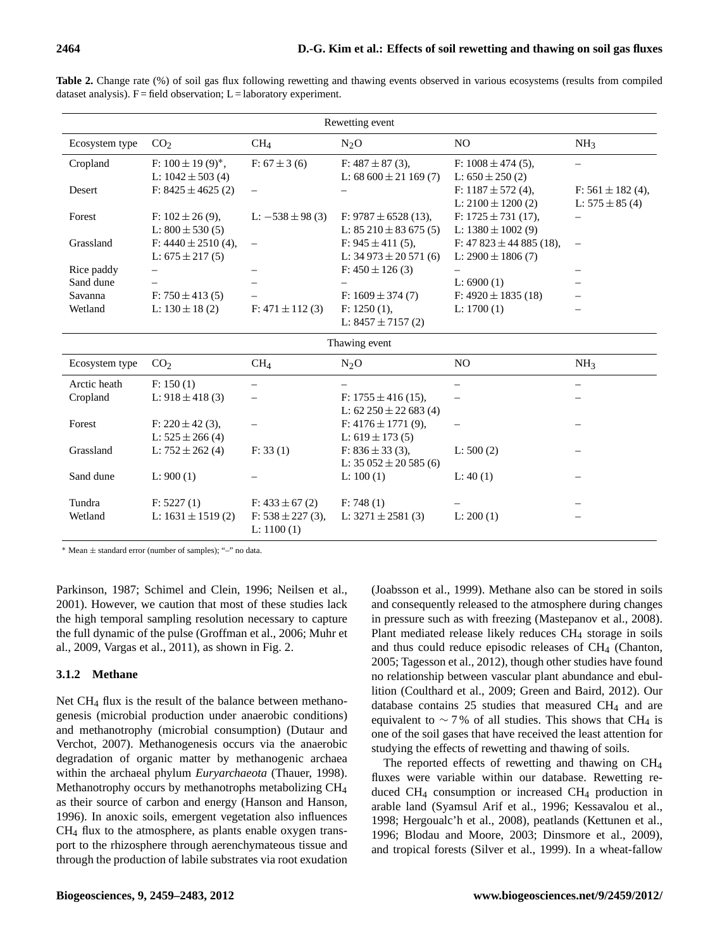| Rewetting event |                                    |                                       |                                |                            |                          |  |
|-----------------|------------------------------------|---------------------------------------|--------------------------------|----------------------------|--------------------------|--|
| Ecosystem type  | CO <sub>2</sub>                    | CH <sub>4</sub>                       | $N_2O$                         | NO.                        | NH <sub>3</sub>          |  |
| Cropland        | F: $100 \pm 19$ (9) <sup>*</sup> , | F: $67 \pm 3$ (6)                     | F: $487 \pm 87$ (3),           | F: $1008 \pm 474$ (5),     |                          |  |
|                 | L: $1042 \pm 503$ (4)              |                                       | L: $68600 \pm 21169$ (7)       | L: $650 \pm 250$ (2)       |                          |  |
| Desert          | F: $8425 \pm 4625$ (2)             | $\qquad \qquad -$                     |                                | F: $1187 \pm 572$ (4),     | F: $561 \pm 182$ (4),    |  |
|                 |                                    |                                       |                                | L: $2100 \pm 1200$ (2)     | L: $575 \pm 85(4)$       |  |
| Forest          | F: $102 \pm 26$ (9),               | L: $-538 \pm 98$ (3)                  | F: $9787 \pm 6528$ (13),       | F: $1725 \pm 731$ (17),    |                          |  |
|                 | L: $800 \pm 530(5)$                |                                       | L: $85\ 210 \pm 83\ 675\ (5)$  | L: $1380 \pm 1002$ (9)     |                          |  |
| Grassland       | F: $4440 \pm 2510$ (4),            | $\qquad \qquad -$                     | F: $945 \pm 411$ (5),          | F: $47823 \pm 44885$ (18), | $\overline{\phantom{0}}$ |  |
|                 | L: $675 \pm 217(5)$                |                                       | L: $34973 \pm 20571(6)$        | L: $2900 \pm 1806$ (7)     |                          |  |
| Rice paddy      |                                    | $\qquad \qquad -$                     | F: $450 \pm 126$ (3)           |                            | $\equiv$                 |  |
| Sand dune       |                                    |                                       |                                | L: $6900(1)$               |                          |  |
| Savanna         | F: $750 \pm 413$ (5)               |                                       | F: $1609 \pm 374$ (7)          | F: $4920 \pm 1835$ (18)    |                          |  |
| Wetland         | L: $130 \pm 18$ (2)                | $F: 471 \pm 112$ (3)                  | F: 1250(1),                    | L: $1700(1)$               |                          |  |
|                 |                                    |                                       | L: $8457 \pm 7157$ (2)         |                            |                          |  |
|                 |                                    |                                       | Thawing event                  |                            |                          |  |
| Ecosystem type  | CO <sub>2</sub>                    | CH <sub>4</sub>                       | $N_2O$                         | N <sub>O</sub>             | NH <sub>3</sub>          |  |
| Arctic heath    | F: 150(1)                          | $\qquad \qquad -$                     |                                |                            |                          |  |
| Cropland        | L: $918 \pm 418$ (3)               | $\overline{\phantom{0}}$              | F: $1755 \pm 416$ (15),        |                            |                          |  |
|                 |                                    |                                       | L: $62\,250 \pm 22\,683\,$ (4) |                            |                          |  |
| Forest          | F: $220 \pm 42$ (3),               |                                       | F: $4176 \pm 1771$ (9),        |                            |                          |  |
|                 | L: $525 \pm 266$ (4)               |                                       | L: $619 \pm 173$ (5)           |                            |                          |  |
| Grassland       | L: $752 \pm 262$ (4)               | F: 33(1)                              | F: $836 \pm 33$ (3),           | L: 500(2)                  |                          |  |
|                 |                                    |                                       | L: $35052 \pm 20585$ (6)       |                            |                          |  |
| Sand dune       | L: 900(1)                          |                                       | L: $100(1)$                    | L: 40(1)                   |                          |  |
|                 |                                    |                                       |                                |                            |                          |  |
| Tundra          | F: 5227(1)                         | F: $433 \pm 67$ (2)                   | F: 748(1)                      |                            |                          |  |
| Wetland         | L: $1631 \pm 1519$ (2)             | $F: 538 \pm 227$ (3),<br>L: $1100(1)$ | L: $3271 \pm 2581$ (3)         | L: 200(1)                  |                          |  |

**Table 2.** Change rate (%) of soil gas flux following rewetting and thawing events observed in various ecosystems (results from compiled dataset analysis).  $F = \text{field observation}$ ;  $L = \text{laboratory experiment}$ .

<sup>∗</sup> Mean ± standard error (number of samples); "–" no data.

Parkinson, 1987; Schimel and Clein, 1996; Neilsen et al., 2001). However, we caution that most of these studies lack the high temporal sampling resolution necessary to capture the full dynamic of the pulse (Groffman et al., 2006; Muhr et al., 2009, Vargas et al., 2011), as shown in Fig. 2.

## **3.1.2 Methane**

Net CH<sup>4</sup> flux is the result of the balance between methanogenesis (microbial production under anaerobic conditions) and methanotrophy (microbial consumption) (Dutaur and Verchot, 2007). Methanogenesis occurs via the anaerobic degradation of organic matter by methanogenic archaea within the archaeal phylum *Euryarchaeota* (Thauer, 1998). Methanotrophy occurs by methanotrophs metabolizing CH<sup>4</sup> as their source of carbon and energy (Hanson and Hanson, 1996). In anoxic soils, emergent vegetation also influences CH<sup>4</sup> flux to the atmosphere, as plants enable oxygen transport to the rhizosphere through aerenchymateous tissue and through the production of labile substrates via root exudation (Joabsson et al., 1999). Methane also can be stored in soils and consequently released to the atmosphere during changes in pressure such as with freezing (Mastepanov et al., 2008). Plant mediated release likely reduces  $CH<sub>4</sub>$  storage in soils and thus could reduce episodic releases of  $CH<sub>4</sub>$  (Chanton, 2005; Tagesson et al., 2012), though other studies have found no relationship between vascular plant abundance and ebullition (Coulthard et al., 2009; Green and Baird, 2012). Our database contains 25 studies that measured CH<sup>4</sup> and are equivalent to  $\sim$  7% of all studies. This shows that CH<sub>4</sub> is one of the soil gases that have received the least attention for studying the effects of rewetting and thawing of soils.

The reported effects of rewetting and thawing on CH<sup>4</sup> fluxes were variable within our database. Rewetting reduced CH<sup>4</sup> consumption or increased CH<sup>4</sup> production in arable land (Syamsul Arif et al., 1996; Kessavalou et al., 1998; Hergoualc'h et al., 2008), peatlands (Kettunen et al., 1996; Blodau and Moore, 2003; Dinsmore et al., 2009), and tropical forests (Silver et al., 1999). In a wheat-fallow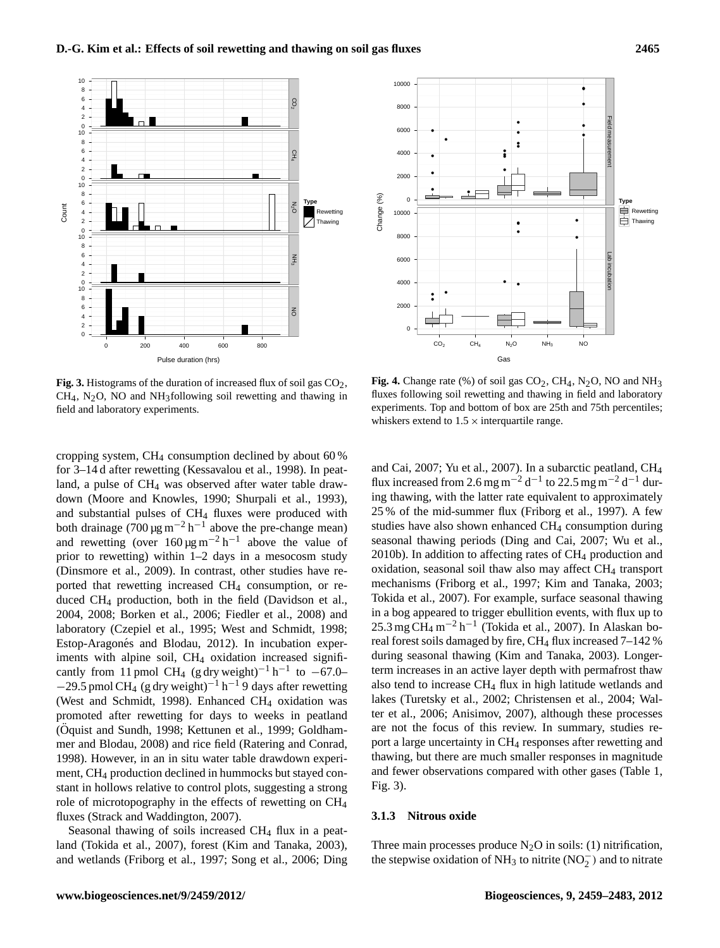

**Fig. 3.** Histograms of the duration of increased flux of soil gas  $CO<sub>2</sub>$ ,  $CH<sub>4</sub>$ , N<sub>2</sub>O, NO and NH<sub>3</sub>following soil rewetting and thawing in field and laboratory experiments.

cropping system, CH<sup>4</sup> consumption declined by about 60 % for 3–14 d after rewetting (Kessavalou et al., 1998). In peatland, a pulse of CH<sub>4</sub> was observed after water table drawdown (Moore and Knowles, 1990; Shurpali et al., 1993), and substantial pulses of CH<sub>4</sub> fluxes were produced with both drainage (700 µg m<sup>-2</sup> h<sup>-1</sup> above the pre-change mean) and rewetting (over  $160 \,\mathrm{\mu g\,m^{-2}\,h^{-1}}$  above the value of prior to rewetting) within 1–2 days in a mesocosm study (Dinsmore et al., 2009). In contrast, other studies have reported that rewetting increased CH<sup>4</sup> consumption, or reduced CH<sup>4</sup> production, both in the field (Davidson et al., 2004, 2008; Borken et al., 2006; Fiedler et al., 2008) and laboratory (Czepiel et al., 1995; West and Schmidt, 1998; Estop-Aragonés and Blodau, 2012). In incubation experiments with alpine soil, CH<sub>4</sub> oxidation increased significantly from 11 pmol CH<sub>4</sub> (g dry weight)<sup>-1</sup> h<sup>-1</sup> to -67.0–  $-29.5$  pmol CH<sub>4</sub> (g dry weight)<sup>-1</sup> h<sup>-1</sup>9 days after rewetting (West and Schmidt, 1998). Enhanced CH<sub>4</sub> oxidation was promoted after rewetting for days to weeks in peatland (Öquist and Sundh, 1998; Kettunen et al., 1999; Goldhammer and Blodau, 2008) and rice field (Ratering and Conrad, 1998). However, in an in situ water table drawdown experiment, CH<sup>4</sup> production declined in hummocks but stayed constant in hollows relative to control plots, suggesting a strong role of microtopography in the effects of rewetting on CH<sup>4</sup> fluxes (Strack and Waddington, 2007).

Seasonal thawing of soils increased CH<sub>4</sub> flux in a peatland (Tokida et al., 2007), forest (Kim and Tanaka, 2003), and wetlands (Friborg et al., 1997; Song et al., 2006; Ding



**Fig. 4.** Change rate  $(\%)$  of soil gas  $CO_2$ , CH<sub>4</sub>, N<sub>2</sub>O, NO and NH<sub>3</sub> fluxes following soil rewetting and thawing in field and laboratory experiments. Top and bottom of box are 25th and 75th percentiles; whiskers extend to  $1.5 \times$  interquartile range.

and Cai, 2007; Yu et al., 2007). In a subarctic peatland, CH<sup>4</sup> flux increased from 2.6 mg m<sup>-2</sup> d<sup>-1</sup> to 22.5 mg m<sup>-2</sup> d<sup>-1</sup> during thawing, with the latter rate equivalent to approximately 25 % of the mid-summer flux (Friborg et al., 1997). A few studies have also shown enhanced CH<sub>4</sub> consumption during seasonal thawing periods (Ding and Cai, 2007; Wu et al., 2010b). In addition to affecting rates of  $CH<sub>4</sub>$  production and oxidation, seasonal soil thaw also may affect CH<sub>4</sub> transport mechanisms (Friborg et al., 1997; Kim and Tanaka, 2003; Tokida et al., 2007). For example, surface seasonal thawing in a bog appeared to trigger ebullition events, with flux up to 25.3 mg CH<sub>4</sub> m<sup>-2</sup> h<sup>-1</sup> (Tokida et al., 2007). In Alaskan boreal forest soils damaged by fire,  $CH_4$  flux increased 7–142 % during seasonal thawing (Kim and Tanaka, 2003). Longerterm increases in an active layer depth with permafrost thaw also tend to increase  $CH_4$  flux in high latitude wetlands and lakes (Turetsky et al., 2002; Christensen et al., 2004; Walter et al., 2006; Anisimov, 2007), although these processes are not the focus of this review. In summary, studies report a large uncertainty in CH<sup>4</sup> responses after rewetting and thawing, but there are much smaller responses in magnitude and fewer observations compared with other gases (Table 1, Fig. 3).

#### **3.1.3 Nitrous oxide**

Three main processes produce  $N_2O$  in soils: (1) nitrification, the stepwise oxidation of NH<sub>3</sub> to nitrite (NO<sub>2</sub><sup> $-$ </sup>) and to nitrate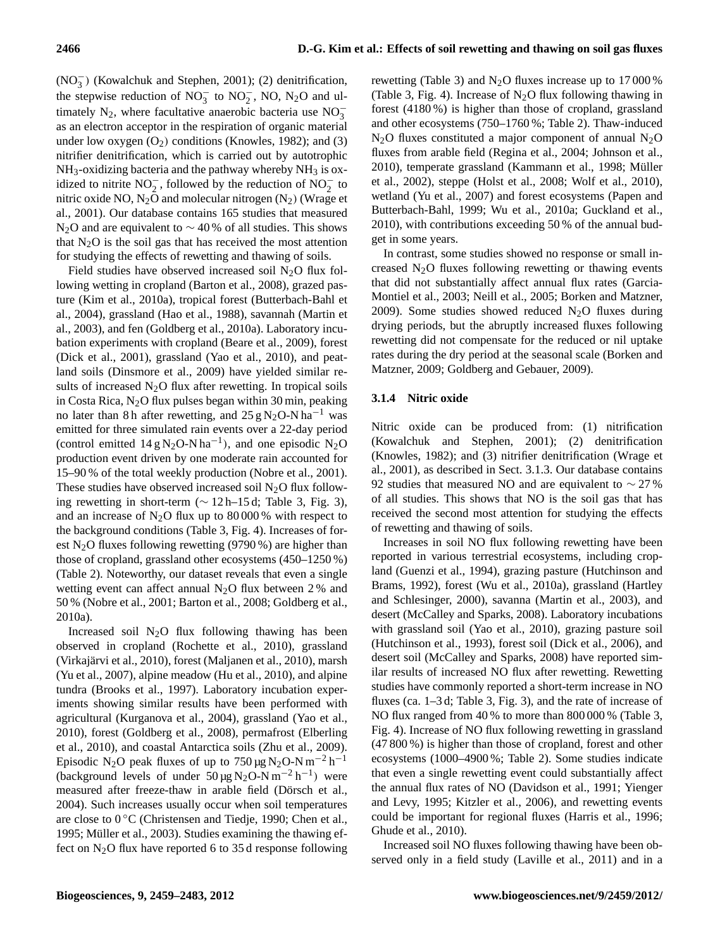(NO<sup>−</sup> 3 ) (Kowalchuk and Stephen, 2001); (2) denitrification, the stepwise reduction of  $NO_3^-$  to  $NO_2^-$ , NO,  $N_2O$  and ultimately N<sub>2</sub>, where facultative anaerobic bacteria use  $NO_3^$ as an electron acceptor in the respiration of organic material under low oxygen  $(O_2)$  conditions (Knowles, 1982); and (3) nitrifier denitrification, which is carried out by autotrophic  $NH<sub>3</sub>$ -oxidizing bacteria and the pathway whereby  $NH<sub>3</sub>$  is oxidized to nitrite  $NO_2^-$ , followed by the reduction of  $NO_2^-$  to nitric oxide NO,  $N_2$ O and molecular nitrogen  $(N_2)$  (Wrage et al., 2001). Our database contains 165 studies that measured N<sub>2</sub>O and are equivalent to  $\sim$  40 % of all studies. This shows that  $N_2O$  is the soil gas that has received the most attention for studying the effects of rewetting and thawing of soils.

Field studies have observed increased soil  $N_2O$  flux following wetting in cropland (Barton et al., 2008), grazed pasture (Kim et al., 2010a), tropical forest (Butterbach-Bahl et al., 2004), grassland (Hao et al., 1988), savannah (Martin et al., 2003), and fen (Goldberg et al., 2010a). Laboratory incubation experiments with cropland (Beare et al., 2009), forest (Dick et al., 2001), grassland (Yao et al., 2010), and peatland soils (Dinsmore et al., 2009) have yielded similar results of increased  $N<sub>2</sub>O$  flux after rewetting. In tropical soils in Costa Rica,  $N_2O$  flux pulses began within 30 min, peaking no later than 8 h after rewetting, and  $25 \text{ g N}_2\text{O-N} \text{ ha}^{-1}$  was emitted for three simulated rain events over a 22-day period (control emitted  $14 \text{ g N}_2\text{O-N} \text{ ha}^{-1}$ ), and one episodic N<sub>2</sub>O production event driven by one moderate rain accounted for 15–90 % of the total weekly production (Nobre et al., 2001). These studies have observed increased soil  $N_2O$  flux following rewetting in short-term ( $∼ 12 h-15 d$ ; Table 3, Fig. 3), and an increase of  $N_2O$  flux up to 80 000 % with respect to the background conditions (Table 3, Fig. 4). Increases of forest N<sub>2</sub>O fluxes following rewetting (9790 %) are higher than those of cropland, grassland other ecosystems (450–1250 %) (Table 2). Noteworthy, our dataset reveals that even a single wetting event can affect annual  $N_2O$  flux between 2% and 50 % (Nobre et al., 2001; Barton et al., 2008; Goldberg et al., 2010a).

Increased soil  $N_2O$  flux following thawing has been observed in cropland (Rochette et al., 2010), grassland (Virkajarvi et al., 2010), forest (Maljanen et al., 2010), marsh ¨ (Yu et al., 2007), alpine meadow (Hu et al., 2010), and alpine tundra (Brooks et al., 1997). Laboratory incubation experiments showing similar results have been performed with agricultural (Kurganova et al., 2004), grassland (Yao et al., 2010), forest (Goldberg et al., 2008), permafrost (Elberling et al., 2010), and coastal Antarctica soils (Zhu et al., 2009). Episodic N<sub>2</sub>O peak fluxes of up to  $750 \,\text{\mu g\,N_2O-N m<sup>-2</sup> h<sup>-1</sup>$ (background levels of under  $50 \mu g N_2O-N m^{-2} h^{-1}$ ) were measured after freeze-thaw in arable field (Dörsch et al., 2004). Such increases usually occur when soil temperatures are close to 0 ◦C (Christensen and Tiedje, 1990; Chen et al., 1995; Müller et al., 2003). Studies examining the thawing effect on  $N_2O$  flux have reported 6 to 35 d response following rewetting (Table 3) and  $N_2O$  fluxes increase up to 17000 % (Table 3, Fig. 4). Increase of  $N_2O$  flux following thawing in forest (4180 %) is higher than those of cropland, grassland and other ecosystems (750–1760 %; Table 2). Thaw-induced  $N_2$ O fluxes constituted a major component of annual  $N_2$ O fluxes from arable field (Regina et al., 2004; Johnson et al., 2010), temperate grassland (Kammann et al., 1998; Müller et al., 2002), steppe (Holst et al., 2008; Wolf et al., 2010), wetland (Yu et al., 2007) and forest ecosystems (Papen and Butterbach-Bahl, 1999; Wu et al., 2010a; Guckland et al., 2010), with contributions exceeding 50 % of the annual budget in some years.

In contrast, some studies showed no response or small increased  $N_2O$  fluxes following rewetting or thawing events that did not substantially affect annual flux rates (Garcia-Montiel et al., 2003; Neill et al., 2005; Borken and Matzner, 2009). Some studies showed reduced  $N_2O$  fluxes during drying periods, but the abruptly increased fluxes following rewetting did not compensate for the reduced or nil uptake rates during the dry period at the seasonal scale (Borken and Matzner, 2009; Goldberg and Gebauer, 2009).

# **3.1.4 Nitric oxide**

Nitric oxide can be produced from: (1) nitrification (Kowalchuk and Stephen, 2001); (2) denitrification (Knowles, 1982); and (3) nitrifier denitrification (Wrage et al., 2001), as described in Sect. 3.1.3. Our database contains 92 studies that measured NO and are equivalent to  $\sim$  27 % of all studies. This shows that NO is the soil gas that has received the second most attention for studying the effects of rewetting and thawing of soils.

Increases in soil NO flux following rewetting have been reported in various terrestrial ecosystems, including cropland (Guenzi et al., 1994), grazing pasture (Hutchinson and Brams, 1992), forest (Wu et al., 2010a), grassland (Hartley and Schlesinger, 2000), savanna (Martin et al., 2003), and desert (McCalley and Sparks, 2008). Laboratory incubations with grassland soil (Yao et al., 2010), grazing pasture soil (Hutchinson et al., 1993), forest soil (Dick et al., 2006), and desert soil (McCalley and Sparks, 2008) have reported similar results of increased NO flux after rewetting. Rewetting studies have commonly reported a short-term increase in NO fluxes (ca. 1–3 d; Table 3, Fig. 3), and the rate of increase of NO flux ranged from 40 % to more than 800 000 % (Table 3, Fig. 4). Increase of NO flux following rewetting in grassland (47 800 %) is higher than those of cropland, forest and other ecosystems (1000–4900 %; Table 2). Some studies indicate that even a single rewetting event could substantially affect the annual flux rates of NO (Davidson et al., 1991; Yienger and Levy, 1995; Kitzler et al., 2006), and rewetting events could be important for regional fluxes (Harris et al., 1996; Ghude et al., 2010).

Increased soil NO fluxes following thawing have been observed only in a field study (Laville et al., 2011) and in a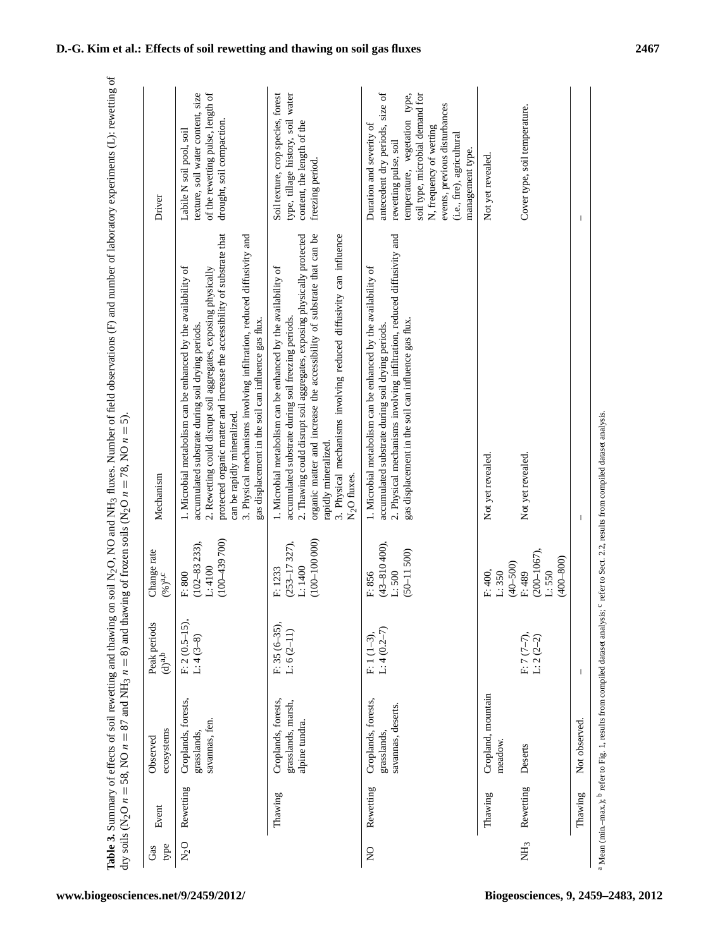| type<br>Gas               | Event                | ecosystems<br>Observed                                      | Peak periods<br>$(d)^{a,b}$   | Change rate<br>$(\%)^{a,c}$                                                             | Mechanism                                                                                                                                                                                                                                                                                                                                                                                                                           | Driver                                                                                                                                                                                                                                                                |
|---------------------------|----------------------|-------------------------------------------------------------|-------------------------------|-----------------------------------------------------------------------------------------|-------------------------------------------------------------------------------------------------------------------------------------------------------------------------------------------------------------------------------------------------------------------------------------------------------------------------------------------------------------------------------------------------------------------------------------|-----------------------------------------------------------------------------------------------------------------------------------------------------------------------------------------------------------------------------------------------------------------------|
| $N_2$ O                   | Rewetting            | Croplands, forests,<br>savannas, fen.<br>grasslands,        | F: 2 (0.5–15),<br>L: 4 (3–8)  | $(100 - 439700)$<br>$(102 - 83233),$<br>L:4100<br>F: 800                                | protected organic matter and increase the accessibility of substrate that<br>3. Physical mechanisms involving infiltration, reduced diffusivity and<br>1. Microbial metabolism can be enhanced by the availability of<br>2. Rewetting could disrupt soil aggregates, exposing physically<br>gas displacement in the soil can influence gas flux.<br>accumulated substrate during soil drying periods<br>can be rapidly mineralized. | of the rewetting pulse, length of<br>texture, soil water content, size<br>drought, soil compaction<br>Labile N soil pool, soil                                                                                                                                        |
|                           | Thawing              | grasslands, marsh,<br>Croplands, forests,<br>alpine tundra. | F: 35 (6-35),<br>$L: 6(2-11)$ | $(100-100000)$<br>$(253 - 17327),$<br>L:1400<br>F: 1233                                 | 2. Thawing could disrupt soil aggregates, exposing physically protected<br>organic matter and increase the accessibility of substrate that can be<br>3. Physical mechanisms involving reduced diffusivity can influence<br>1. Microbial metabolism can be enhanced by the availability of<br>accumulated substrate during soil freezing periods.<br>rapidly mineralized.<br>N <sub>2</sub> O fluxes.                                | Soil texture, crop species, forest<br>type, tillage history, soil water<br>content, the length of the<br>freezing period.                                                                                                                                             |
| $\mathsf{S}^{\mathsf{O}}$ | Rewetting            | Croplands, forests,<br>savannas, deserts<br>grasslands.     | $L: 4(0.2-7)$<br>$F: 1(1-3),$ | $(43 - 810400)$ ,<br>$(50 - 11500)$<br>L:500<br>F: 856                                  | 2. Physical mechanisms involving infiltration, reduced diffusivity and<br>1. Microbial metabolism can be enhanced by the availability of<br>gas displacement in the soil can influence gas flux.<br>accumulated substrate during soil drying periods.                                                                                                                                                                               | antecedent dry periods, size of<br>soil type, microbial demand for<br>temperature, vegetation type,<br>events, previous disturbances<br>Duration and severity of<br>N, frequency of wetting<br>(i.e., fire), agricultural<br>rewetting pulse, soil<br>management type |
| NH <sub>3</sub>           | Rewetting<br>Thawing | Cropland, mountain<br>meadow<br>Deserts                     | F: 7 (7–7),<br>L: 2 (2–2)     | $(200 - 1067),$<br>$(400 - 800)$<br>$(40 - 500)$<br>F: 400,<br>L:550<br>L:350<br>F: 489 | Not yet revealed.<br>Not yet revealed.                                                                                                                                                                                                                                                                                                                                                                                              | Cover type, soil temperature.<br>Not yet revealed.                                                                                                                                                                                                                    |
|                           | Thawing              | Not observed.                                               |                               |                                                                                         |                                                                                                                                                                                                                                                                                                                                                                                                                                     |                                                                                                                                                                                                                                                                       |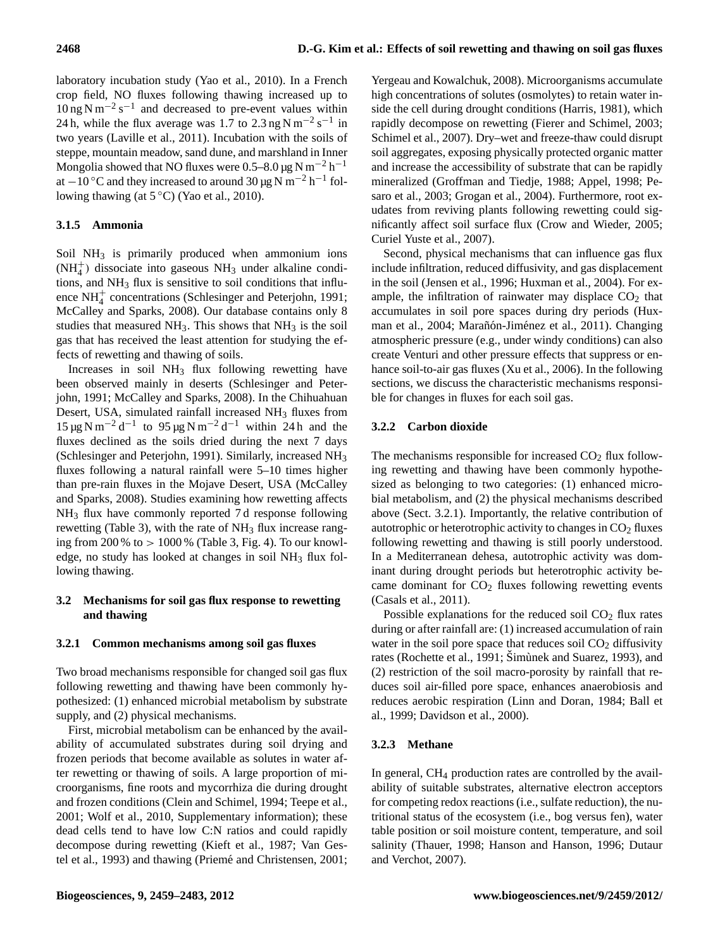laboratory incubation study (Yao et al., 2010). In a French crop field, NO fluxes following thawing increased up to  $10 \text{ ng N m}^{-2} \text{ s}^{-1}$  and decreased to pre-event values within 24 h, while the flux average was 1.7 to 2.3 ng N m<sup>-2</sup> s<sup>-1</sup> in two years (Laville et al., 2011). Incubation with the soils of steppe, mountain meadow, sand dune, and marshland in Inner Mongolia showed that NO fluxes were  $0.5-8.0 \,\text{\mu g\,N\,m^{-2}\,h^{-1}}$ at −10 °C and they increased to around  $30 \,\mu g$  N m<sup>-2</sup> h<sup>-1</sup> following thawing (at  $5^{\circ}$ C) (Yao et al., 2010).

# **3.1.5 Ammonia**

Soil NH<sub>3</sub> is primarily produced when ammonium ions  $(NH<sub>4</sub><sup>+</sup>)$  dissociate into gaseous NH<sub>3</sub> under alkaline conditions, and  $NH<sub>3</sub>$  flux is sensitive to soil conditions that influence NH<sup>+</sup> concentrations (Schlesinger and Peterjohn, 1991; McCalley and Sparks, 2008). Our database contains only 8 studies that measured  $NH<sub>3</sub>$ . This shows that  $NH<sub>3</sub>$  is the soil gas that has received the least attention for studying the effects of rewetting and thawing of soils.

Increases in soil  $NH_3$  flux following rewetting have been observed mainly in deserts (Schlesinger and Peterjohn, 1991; McCalley and Sparks, 2008). In the Chihuahuan Desert, USA, simulated rainfall increased NH<sub>3</sub> fluxes from 15 μg N m<sup>-2</sup> d<sup>-1</sup> to 95 μg N m<sup>-2</sup> d<sup>-1</sup> within 24 h and the fluxes declined as the soils dried during the next 7 days (Schlesinger and Peterjohn, 1991). Similarly, increased NH<sup>3</sup> fluxes following a natural rainfall were 5–10 times higher than pre-rain fluxes in the Mojave Desert, USA (McCalley and Sparks, 2008). Studies examining how rewetting affects NH<sup>3</sup> flux have commonly reported 7 d response following rewetting (Table 3), with the rate of  $NH<sub>3</sub>$  flux increase ranging from  $200\%$  to  $> 1000\%$  (Table 3, Fig. 4). To our knowledge, no study has looked at changes in soil NH<sub>3</sub> flux following thawing.

# **3.2 Mechanisms for soil gas flux response to rewetting and thawing**

# **3.2.1 Common mechanisms among soil gas fluxes**

Two broad mechanisms responsible for changed soil gas flux following rewetting and thawing have been commonly hypothesized: (1) enhanced microbial metabolism by substrate supply, and (2) physical mechanisms.

First, microbial metabolism can be enhanced by the availability of accumulated substrates during soil drying and frozen periods that become available as solutes in water after rewetting or thawing of soils. A large proportion of microorganisms, fine roots and mycorrhiza die during drought and frozen conditions (Clein and Schimel, 1994; Teepe et al., 2001; Wolf et al., 2010, Supplementary information); these dead cells tend to have low C:N ratios and could rapidly decompose during rewetting (Kieft et al., 1987; Van Gestel et al., 1993) and thawing (Priemé and Christensen, 2001;

Yergeau and Kowalchuk, 2008). Microorganisms accumulate high concentrations of solutes (osmolytes) to retain water inside the cell during drought conditions (Harris, 1981), which rapidly decompose on rewetting (Fierer and Schimel, 2003; Schimel et al., 2007). Dry–wet and freeze-thaw could disrupt soil aggregates, exposing physically protected organic matter and increase the accessibility of substrate that can be rapidly mineralized (Groffman and Tiedje, 1988; Appel, 1998; Pesaro et al., 2003; Grogan et al., 2004). Furthermore, root exudates from reviving plants following rewetting could significantly affect soil surface flux (Crow and Wieder, 2005; Curiel Yuste et al., 2007).

Second, physical mechanisms that can influence gas flux include infiltration, reduced diffusivity, and gas displacement in the soil (Jensen et al., 1996; Huxman et al., 2004). For example, the infiltration of rainwater may displace  $CO<sub>2</sub>$  that accumulates in soil pore spaces during dry periods (Huxman et al., 2004; Marañón-Jiménez et al., 2011). Changing atmospheric pressure (e.g., under windy conditions) can also create Venturi and other pressure effects that suppress or enhance soil-to-air gas fluxes (Xu et al., 2006). In the following sections, we discuss the characteristic mechanisms responsible for changes in fluxes for each soil gas.

# **3.2.2 Carbon dioxide**

The mechanisms responsible for increased  $CO<sub>2</sub>$  flux following rewetting and thawing have been commonly hypothesized as belonging to two categories: (1) enhanced microbial metabolism, and (2) the physical mechanisms described above (Sect. 3.2.1). Importantly, the relative contribution of autotrophic or heterotrophic activity to changes in  $CO<sub>2</sub>$  fluxes following rewetting and thawing is still poorly understood. In a Mediterranean dehesa, autotrophic activity was dominant during drought periods but heterotrophic activity became dominant for  $CO<sub>2</sub>$  fluxes following rewetting events (Casals et al., 2011).

Possible explanations for the reduced soil  $CO<sub>2</sub>$  flux rates during or after rainfall are: (1) increased accumulation of rain water in the soil pore space that reduces soil  $CO<sub>2</sub>$  diffusivity rates (Rochette et al., 1991; Simùnek and Suarez, 1993), and (2) restriction of the soil macro-porosity by rainfall that reduces soil air-filled pore space, enhances anaerobiosis and reduces aerobic respiration (Linn and Doran, 1984; Ball et al., 1999; Davidson et al., 2000).

# **3.2.3 Methane**

In general, CH<sub>4</sub> production rates are controlled by the availability of suitable substrates, alternative electron acceptors for competing redox reactions (i.e., sulfate reduction), the nutritional status of the ecosystem (i.e., bog versus fen), water table position or soil moisture content, temperature, and soil salinity (Thauer, 1998; Hanson and Hanson, 1996; Dutaur and Verchot, 2007).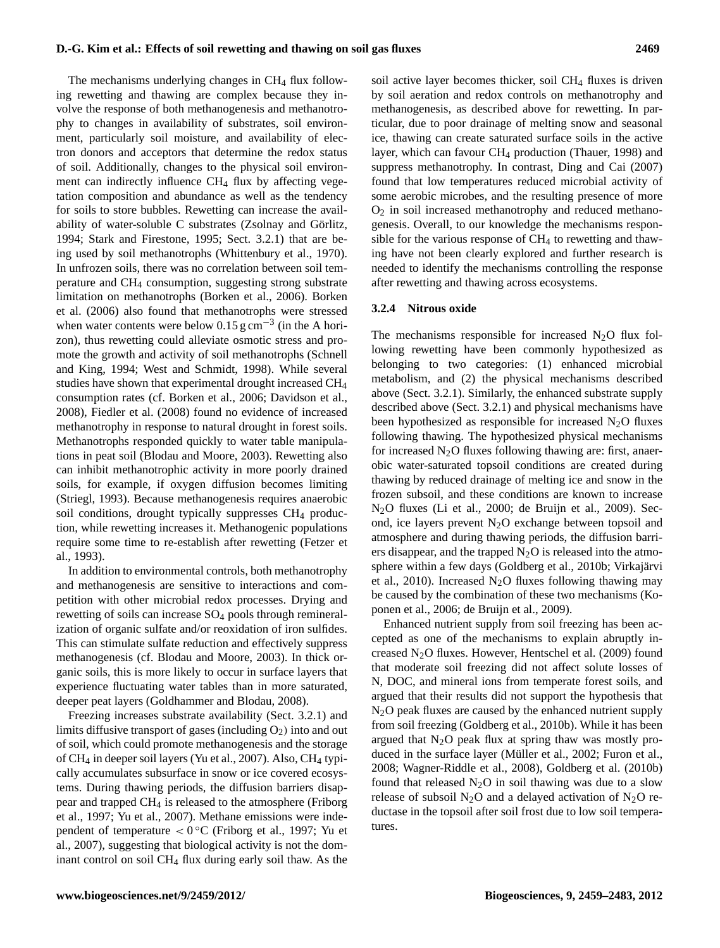The mechanisms underlying changes in  $CH<sub>4</sub>$  flux following rewetting and thawing are complex because they involve the response of both methanogenesis and methanotrophy to changes in availability of substrates, soil environment, particularly soil moisture, and availability of electron donors and acceptors that determine the redox status of soil. Additionally, changes to the physical soil environment can indirectly influence  $CH<sub>4</sub>$  flux by affecting vegetation composition and abundance as well as the tendency for soils to store bubbles. Rewetting can increase the availability of water-soluble C substrates (Zsolnay and Görlitz, 1994; Stark and Firestone, 1995; Sect. 3.2.1) that are being used by soil methanotrophs (Whittenbury et al., 1970). In unfrozen soils, there was no correlation between soil temperature and CH<sup>4</sup> consumption, suggesting strong substrate limitation on methanotrophs (Borken et al., 2006). Borken et al. (2006) also found that methanotrophs were stressed when water contents were below 0.15  $\text{g cm}^{-3}$  (in the A horizon), thus rewetting could alleviate osmotic stress and promote the growth and activity of soil methanotrophs (Schnell and King, 1994; West and Schmidt, 1998). While several studies have shown that experimental drought increased CH<sup>4</sup> consumption rates (cf. Borken et al., 2006; Davidson et al., 2008), Fiedler et al. (2008) found no evidence of increased methanotrophy in response to natural drought in forest soils. Methanotrophs responded quickly to water table manipulations in peat soil (Blodau and Moore, 2003). Rewetting also can inhibit methanotrophic activity in more poorly drained soils, for example, if oxygen diffusion becomes limiting (Striegl, 1993). Because methanogenesis requires anaerobic soil conditions, drought typically suppresses  $CH<sub>4</sub>$  production, while rewetting increases it. Methanogenic populations require some time to re-establish after rewetting (Fetzer et al., 1993).

In addition to environmental controls, both methanotrophy and methanogenesis are sensitive to interactions and competition with other microbial redox processes. Drying and rewetting of soils can increase SO<sub>4</sub> pools through remineralization of organic sulfate and/or reoxidation of iron sulfides. This can stimulate sulfate reduction and effectively suppress methanogenesis (cf. Blodau and Moore, 2003). In thick organic soils, this is more likely to occur in surface layers that experience fluctuating water tables than in more saturated, deeper peat layers (Goldhammer and Blodau, 2008).

Freezing increases substrate availability (Sect. 3.2.1) and limits diffusive transport of gases (including  $O_2$ ) into and out of soil, which could promote methanogenesis and the storage of  $CH_4$  in deeper soil layers (Yu et al., 2007). Also,  $CH_4$  typically accumulates subsurface in snow or ice covered ecosystems. During thawing periods, the diffusion barriers disappear and trapped CH<sup>4</sup> is released to the atmosphere (Friborg et al., 1997; Yu et al., 2007). Methane emissions were independent of temperature < 0 ◦C (Friborg et al., 1997; Yu et al., 2007), suggesting that biological activity is not the dominant control on soil CH<sup>4</sup> flux during early soil thaw. As the

soil active layer becomes thicker, soil CH<sub>4</sub> fluxes is driven by soil aeration and redox controls on methanotrophy and methanogenesis, as described above for rewetting. In particular, due to poor drainage of melting snow and seasonal ice, thawing can create saturated surface soils in the active layer, which can favour CH<sub>4</sub> production (Thauer, 1998) and suppress methanotrophy. In contrast, Ding and Cai (2007) found that low temperatures reduced microbial activity of some aerobic microbes, and the resulting presence of more  $O<sub>2</sub>$  in soil increased methanotrophy and reduced methanogenesis. Overall, to our knowledge the mechanisms responsible for the various response of  $CH<sub>4</sub>$  to rewetting and thawing have not been clearly explored and further research is needed to identify the mechanisms controlling the response after rewetting and thawing across ecosystems.

#### **3.2.4 Nitrous oxide**

The mechanisms responsible for increased  $N_2O$  flux following rewetting have been commonly hypothesized as belonging to two categories: (1) enhanced microbial metabolism, and (2) the physical mechanisms described above (Sect. 3.2.1). Similarly, the enhanced substrate supply described above (Sect. 3.2.1) and physical mechanisms have been hypothesized as responsible for increased  $N_2O$  fluxes following thawing. The hypothesized physical mechanisms for increased  $N_2O$  fluxes following thawing are: first, anaerobic water-saturated topsoil conditions are created during thawing by reduced drainage of melting ice and snow in the frozen subsoil, and these conditions are known to increase N2O fluxes (Li et al., 2000; de Bruijn et al., 2009). Second, ice layers prevent  $N_2O$  exchange between topsoil and atmosphere and during thawing periods, the diffusion barriers disappear, and the trapped  $N_2O$  is released into the atmosphere within a few days (Goldberg et al., 2010b; Virkajärvi et al., 2010). Increased  $N_2O$  fluxes following thawing may be caused by the combination of these two mechanisms (Koponen et al., 2006; de Bruijn et al., 2009).

Enhanced nutrient supply from soil freezing has been accepted as one of the mechanisms to explain abruptly increased  $N_2O$  fluxes. However, Hentschel et al. (2009) found that moderate soil freezing did not affect solute losses of N, DOC, and mineral ions from temperate forest soils, and argued that their results did not support the hypothesis that N2O peak fluxes are caused by the enhanced nutrient supply from soil freezing (Goldberg et al., 2010b). While it has been argued that  $N_2O$  peak flux at spring thaw was mostly produced in the surface layer (Müller et al., 2002; Furon et al., 2008; Wagner-Riddle et al., 2008), Goldberg et al. (2010b) found that released  $N_2O$  in soil thawing was due to a slow release of subsoil  $N_2O$  and a delayed activation of  $N_2O$  reductase in the topsoil after soil frost due to low soil temperatures.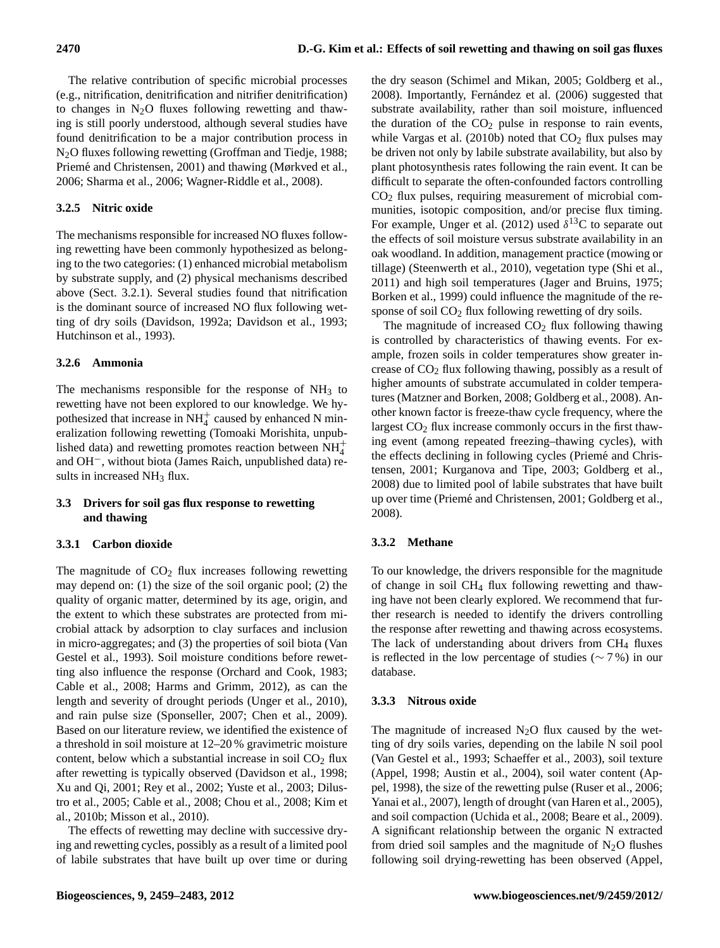The relative contribution of specific microbial processes (e.g., nitrification, denitrification and nitrifier denitrification) to changes in  $N_2O$  fluxes following rewetting and thawing is still poorly understood, although several studies have found denitrification to be a major contribution process in N2O fluxes following rewetting (Groffman and Tiedje, 1988; Priemé and Christensen, 2001) and thawing (Mørkved et al., 2006; Sharma et al., 2006; Wagner-Riddle et al., 2008).

# **3.2.5 Nitric oxide**

The mechanisms responsible for increased NO fluxes following rewetting have been commonly hypothesized as belonging to the two categories: (1) enhanced microbial metabolism by substrate supply, and (2) physical mechanisms described above (Sect. 3.2.1). Several studies found that nitrification is the dominant source of increased NO flux following wetting of dry soils (Davidson, 1992a; Davidson et al., 1993; Hutchinson et al., 1993).

# **3.2.6 Ammonia**

The mechanisms responsible for the response of  $NH<sub>3</sub>$  to rewetting have not been explored to our knowledge. We hypothesized that increase in  $NH<sub>4</sub><sup>+</sup>$  caused by enhanced N mineralization following rewetting (Tomoaki Morishita, unpublished data) and rewetting promotes reaction between  $NH_4^+$ and OH−, without biota (James Raich, unpublished data) results in increased NH<sub>3</sub> flux.

# **3.3 Drivers for soil gas flux response to rewetting and thawing**

# **3.3.1 Carbon dioxide**

The magnitude of  $CO<sub>2</sub>$  flux increases following rewetting may depend on: (1) the size of the soil organic pool; (2) the quality of organic matter, determined by its age, origin, and the extent to which these substrates are protected from microbial attack by adsorption to clay surfaces and inclusion in micro-aggregates; and (3) the properties of soil biota (Van Gestel et al., 1993). Soil moisture conditions before rewetting also influence the response (Orchard and Cook, 1983; Cable et al., 2008; Harms and Grimm, 2012), as can the length and severity of drought periods (Unger et al., 2010), and rain pulse size (Sponseller, 2007; Chen et al., 2009). Based on our literature review, we identified the existence of a threshold in soil moisture at 12–20 % gravimetric moisture content, below which a substantial increase in soil  $CO<sub>2</sub>$  flux after rewetting is typically observed (Davidson et al., 1998; Xu and Qi, 2001; Rey et al., 2002; Yuste et al., 2003; Dilustro et al., 2005; Cable et al., 2008; Chou et al., 2008; Kim et al., 2010b; Misson et al., 2010).

The effects of rewetting may decline with successive drying and rewetting cycles, possibly as a result of a limited pool of labile substrates that have built up over time or during the dry season (Schimel and Mikan, 2005; Goldberg et al., 2008). Importantly, Fernández et al. (2006) suggested that substrate availability, rather than soil moisture, influenced the duration of the  $CO<sub>2</sub>$  pulse in response to rain events, while Vargas et al. (2010b) noted that  $CO<sub>2</sub>$  flux pulses may be driven not only by labile substrate availability, but also by plant photosynthesis rates following the rain event. It can be difficult to separate the often-confounded factors controlling CO<sup>2</sup> flux pulses, requiring measurement of microbial communities, isotopic composition, and/or precise flux timing. For example, Unger et al. (2012) used  $\delta^{13}$ C to separate out the effects of soil moisture versus substrate availability in an oak woodland. In addition, management practice (mowing or tillage) (Steenwerth et al., 2010), vegetation type (Shi et al., 2011) and high soil temperatures (Jager and Bruins, 1975; Borken et al., 1999) could influence the magnitude of the response of soil  $CO<sub>2</sub>$  flux following rewetting of dry soils.

The magnitude of increased  $CO<sub>2</sub>$  flux following thawing is controlled by characteristics of thawing events. For example, frozen soils in colder temperatures show greater increase of  $CO<sub>2</sub>$  flux following thawing, possibly as a result of higher amounts of substrate accumulated in colder temperatures (Matzner and Borken, 2008; Goldberg et al., 2008). Another known factor is freeze-thaw cycle frequency, where the largest  $CO<sub>2</sub>$  flux increase commonly occurs in the first thawing event (among repeated freezing–thawing cycles), with the effects declining in following cycles (Priemé and Christensen, 2001; Kurganova and Tipe, 2003; Goldberg et al., 2008) due to limited pool of labile substrates that have built up over time (Priemé and Christensen, 2001; Goldberg et al., 2008).

# **3.3.2 Methane**

To our knowledge, the drivers responsible for the magnitude of change in soil CH<sup>4</sup> flux following rewetting and thawing have not been clearly explored. We recommend that further research is needed to identify the drivers controlling the response after rewetting and thawing across ecosystems. The lack of understanding about drivers from  $CH<sub>4</sub>$  fluxes is reflected in the low percentage of studies ( $\sim$  7%) in our database.

# **3.3.3 Nitrous oxide**

The magnitude of increased  $N_2O$  flux caused by the wetting of dry soils varies, depending on the labile N soil pool (Van Gestel et al., 1993; Schaeffer et al., 2003), soil texture (Appel, 1998; Austin et al., 2004), soil water content (Appel, 1998), the size of the rewetting pulse (Ruser et al., 2006; Yanai et al., 2007), length of drought (van Haren et al., 2005), and soil compaction (Uchida et al., 2008; Beare et al., 2009). A significant relationship between the organic N extracted from dried soil samples and the magnitude of  $N_2O$  flushes following soil drying-rewetting has been observed (Appel,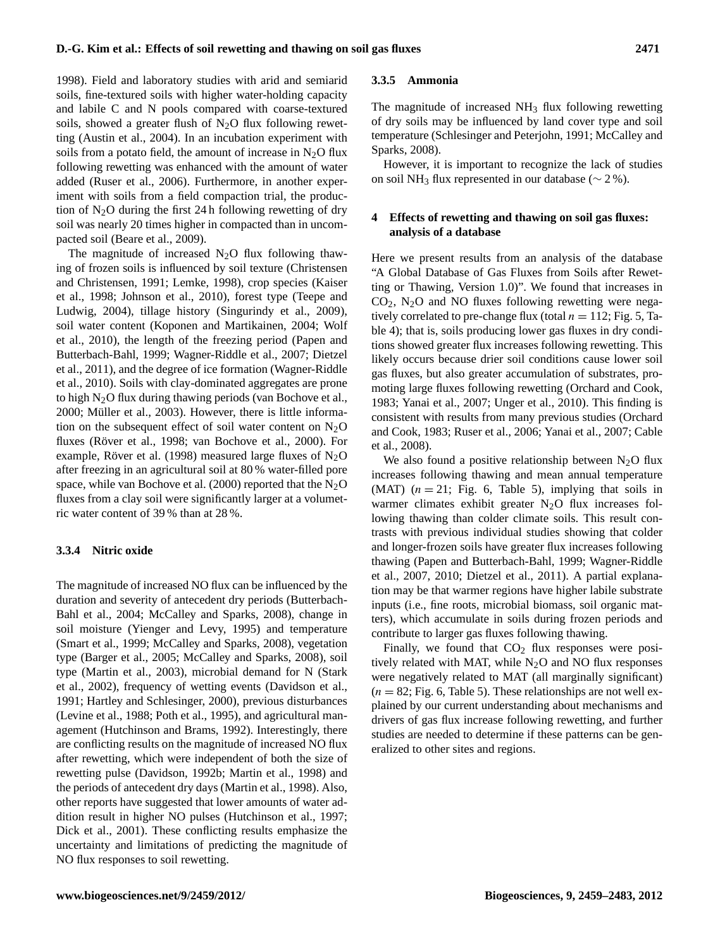1998). Field and laboratory studies with arid and semiarid soils, fine-textured soils with higher water-holding capacity and labile C and N pools compared with coarse-textured soils, showed a greater flush of  $N_2O$  flux following rewetting (Austin et al., 2004). In an incubation experiment with soils from a potato field, the amount of increase in  $N_2O$  flux following rewetting was enhanced with the amount of water added (Ruser et al., 2006). Furthermore, in another experiment with soils from a field compaction trial, the production of  $N_2O$  during the first 24 h following rewetting of dry soil was nearly 20 times higher in compacted than in uncompacted soil (Beare et al., 2009).

The magnitude of increased  $N_2O$  flux following thawing of frozen soils is influenced by soil texture (Christensen and Christensen, 1991; Lemke, 1998), crop species (Kaiser et al., 1998; Johnson et al., 2010), forest type (Teepe and Ludwig, 2004), tillage history (Singurindy et al., 2009), soil water content (Koponen and Martikainen, 2004; Wolf et al., 2010), the length of the freezing period (Papen and Butterbach-Bahl, 1999; Wagner-Riddle et al., 2007; Dietzel et al., 2011), and the degree of ice formation (Wagner-Riddle et al., 2010). Soils with clay-dominated aggregates are prone to high  $N_2O$  flux during thawing periods (van Bochove et al., 2000; Müller et al., 2003). However, there is little information on the subsequent effect of soil water content on  $N_2O$ fluxes (Röver et al., 1998; van Bochove et al., 2000). For example, Röver et al. (1998) measured large fluxes of  $N<sub>2</sub>O$ after freezing in an agricultural soil at 80 % water-filled pore space, while van Bochove et al. (2000) reported that the  $N_2O$ fluxes from a clay soil were significantly larger at a volumetric water content of 39 % than at 28 %.

#### **3.3.4 Nitric oxide**

The magnitude of increased NO flux can be influenced by the duration and severity of antecedent dry periods (Butterbach-Bahl et al., 2004; McCalley and Sparks, 2008), change in soil moisture (Yienger and Levy, 1995) and temperature (Smart et al., 1999; McCalley and Sparks, 2008), vegetation type (Barger et al., 2005; McCalley and Sparks, 2008), soil type (Martin et al., 2003), microbial demand for N (Stark et al., 2002), frequency of wetting events (Davidson et al., 1991; Hartley and Schlesinger, 2000), previous disturbances (Levine et al., 1988; Poth et al., 1995), and agricultural management (Hutchinson and Brams, 1992). Interestingly, there are conflicting results on the magnitude of increased NO flux after rewetting, which were independent of both the size of rewetting pulse (Davidson, 1992b; Martin et al., 1998) and the periods of antecedent dry days (Martin et al., 1998). Also, other reports have suggested that lower amounts of water addition result in higher NO pulses (Hutchinson et al., 1997; Dick et al., 2001). These conflicting results emphasize the uncertainty and limitations of predicting the magnitude of NO flux responses to soil rewetting.

#### **3.3.5 Ammonia**

The magnitude of increased  $NH<sub>3</sub>$  flux following rewetting of dry soils may be influenced by land cover type and soil temperature (Schlesinger and Peterjohn, 1991; McCalley and Sparks, 2008).

However, it is important to recognize the lack of studies on soil NH<sub>3</sub> flux represented in our database ( $\sim$  2 %).

## **4 Effects of rewetting and thawing on soil gas fluxes: analysis of a database**

Here we present results from an analysis of the database "A Global Database of Gas Fluxes from Soils after Rewetting or Thawing, Version 1.0)". We found that increases in  $CO<sub>2</sub>$ , N<sub>2</sub>O and NO fluxes following rewetting were negatively correlated to pre-change flux (total  $n = 112$ ; Fig. 5, Table 4); that is, soils producing lower gas fluxes in dry conditions showed greater flux increases following rewetting. This likely occurs because drier soil conditions cause lower soil gas fluxes, but also greater accumulation of substrates, promoting large fluxes following rewetting (Orchard and Cook, 1983; Yanai et al., 2007; Unger et al., 2010). This finding is consistent with results from many previous studies (Orchard and Cook, 1983; Ruser et al., 2006; Yanai et al., 2007; Cable et al., 2008).

We also found a positive relationship between  $N_2O$  flux increases following thawing and mean annual temperature (MAT)  $(n = 21;$  Fig. 6, Table 5), implying that soils in warmer climates exhibit greater  $N_2O$  flux increases following thawing than colder climate soils. This result contrasts with previous individual studies showing that colder and longer-frozen soils have greater flux increases following thawing (Papen and Butterbach-Bahl, 1999; Wagner-Riddle et al., 2007, 2010; Dietzel et al., 2011). A partial explanation may be that warmer regions have higher labile substrate inputs (i.e., fine roots, microbial biomass, soil organic matters), which accumulate in soils during frozen periods and contribute to larger gas fluxes following thawing.

Finally, we found that  $CO<sub>2</sub>$  flux responses were positively related with MAT, while  $N_2O$  and NO flux responses were negatively related to MAT (all marginally significant)  $(n = 82; Fig. 6, Table 5)$ . These relationships are not well explained by our current understanding about mechanisms and drivers of gas flux increase following rewetting, and further studies are needed to determine if these patterns can be generalized to other sites and regions.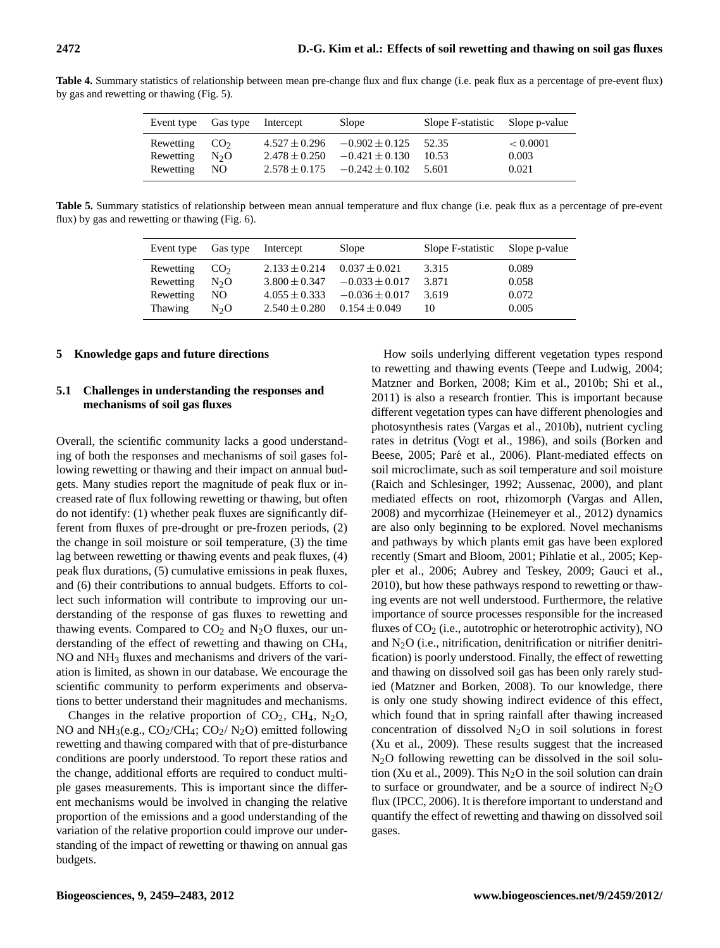| Event type                                | Gas type     | Intercept         | Slope                                                                                             | Slope F-statistic Slope p-value |                            |
|-------------------------------------------|--------------|-------------------|---------------------------------------------------------------------------------------------------|---------------------------------|----------------------------|
| Rewetting $CO2$<br>Rewetting<br>Rewetting | $N_2O$<br>NO | $2.478 \pm 0.250$ | $4.527 \pm 0.296 = 0.902 \pm 0.125$<br>$-0.421 \pm 0.130$<br>$2.578 \pm 0.175 = -0.242 \pm 0.102$ | 52.35<br>10.53<br>5.601         | < 0.0001<br>0.003<br>0.021 |

Table 4. Summary statistics of relationship between mean pre-change flux and flux change (i.e. peak flux as a percentage of pre-event flux) by gas and rewetting or thawing (Fig. 5).

**Table 5.** Summary statistics of relationship between mean annual temperature and flux change (i.e. peak flux as a percentage of pre-event flux) by gas and rewetting or thawing (Fig. 6).

| Event type | Gas type         | Intercept         | Slope              | Slope F-statistic | Slope p-value |
|------------|------------------|-------------------|--------------------|-------------------|---------------|
| Rewetting  | CO <sub>2</sub>  | $2.133 \pm 0.214$ | $0.037 \pm 0.021$  | 3.315             | 0.089         |
| Rewetting  | N <sub>2</sub> O | $3.800 \pm 0.347$ | $-0.033 \pm 0.017$ | 3.871             | 0.058         |
| Rewetting  | NO.              | $4.055 \pm 0.333$ | $-0.036 \pm 0.017$ | 3.619             | 0.072         |
| Thawing    | $N_{2}O$         | $2.540 \pm 0.280$ | $0.154 \pm 0.049$  | 10                | 0.005         |

#### **5 Knowledge gaps and future directions**

# **5.1 Challenges in understanding the responses and mechanisms of soil gas fluxes**

Overall, the scientific community lacks a good understanding of both the responses and mechanisms of soil gases following rewetting or thawing and their impact on annual budgets. Many studies report the magnitude of peak flux or increased rate of flux following rewetting or thawing, but often do not identify: (1) whether peak fluxes are significantly different from fluxes of pre-drought or pre-frozen periods, (2) the change in soil moisture or soil temperature, (3) the time lag between rewetting or thawing events and peak fluxes, (4) peak flux durations, (5) cumulative emissions in peak fluxes, and (6) their contributions to annual budgets. Efforts to collect such information will contribute to improving our understanding of the response of gas fluxes to rewetting and thawing events. Compared to  $CO<sub>2</sub>$  and N<sub>2</sub>O fluxes, our understanding of the effect of rewetting and thawing on CH4, NO and NH<sup>3</sup> fluxes and mechanisms and drivers of the variation is limited, as shown in our database. We encourage the scientific community to perform experiments and observations to better understand their magnitudes and mechanisms.

Changes in the relative proportion of  $CO<sub>2</sub>$ ,  $CH<sub>4</sub>$ , N<sub>2</sub>O, NO and  $NH<sub>3</sub>(e.g., CO<sub>2</sub>/CH<sub>4</sub>; CO<sub>2</sub>/N<sub>2</sub>O)$  emitted following rewetting and thawing compared with that of pre-disturbance conditions are poorly understood. To report these ratios and the change, additional efforts are required to conduct multiple gases measurements. This is important since the different mechanisms would be involved in changing the relative proportion of the emissions and a good understanding of the variation of the relative proportion could improve our understanding of the impact of rewetting or thawing on annual gas budgets.

How soils underlying different vegetation types respond to rewetting and thawing events (Teepe and Ludwig, 2004; Matzner and Borken, 2008; Kim et al., 2010b; Shi et al., 2011) is also a research frontier. This is important because different vegetation types can have different phenologies and photosynthesis rates (Vargas et al., 2010b), nutrient cycling rates in detritus (Vogt et al., 1986), and soils (Borken and Beese, 2005; Paré et al., 2006). Plant-mediated effects on soil microclimate, such as soil temperature and soil moisture (Raich and Schlesinger, 1992; Aussenac, 2000), and plant mediated effects on root, rhizomorph (Vargas and Allen, 2008) and mycorrhizae (Heinemeyer et al., 2012) dynamics are also only beginning to be explored. Novel mechanisms and pathways by which plants emit gas have been explored recently (Smart and Bloom, 2001; Pihlatie et al., 2005; Keppler et al., 2006; Aubrey and Teskey, 2009; Gauci et al., 2010), but how these pathways respond to rewetting or thawing events are not well understood. Furthermore, the relative importance of source processes responsible for the increased fluxes of CO<sub>2</sub> (i.e., autotrophic or heterotrophic activity), NO and  $N_2O$  (i.e., nitrification, denitrification or nitrifier denitrification) is poorly understood. Finally, the effect of rewetting and thawing on dissolved soil gas has been only rarely studied (Matzner and Borken, 2008). To our knowledge, there is only one study showing indirect evidence of this effect, which found that in spring rainfall after thawing increased concentration of dissolved  $N_2O$  in soil solutions in forest (Xu et al., 2009). These results suggest that the increased N2O following rewetting can be dissolved in the soil solution (Xu et al., 2009). This  $N_2O$  in the soil solution can drain to surface or groundwater, and be a source of indirect  $N_2O$ flux (IPCC, 2006). It is therefore important to understand and quantify the effect of rewetting and thawing on dissolved soil gases.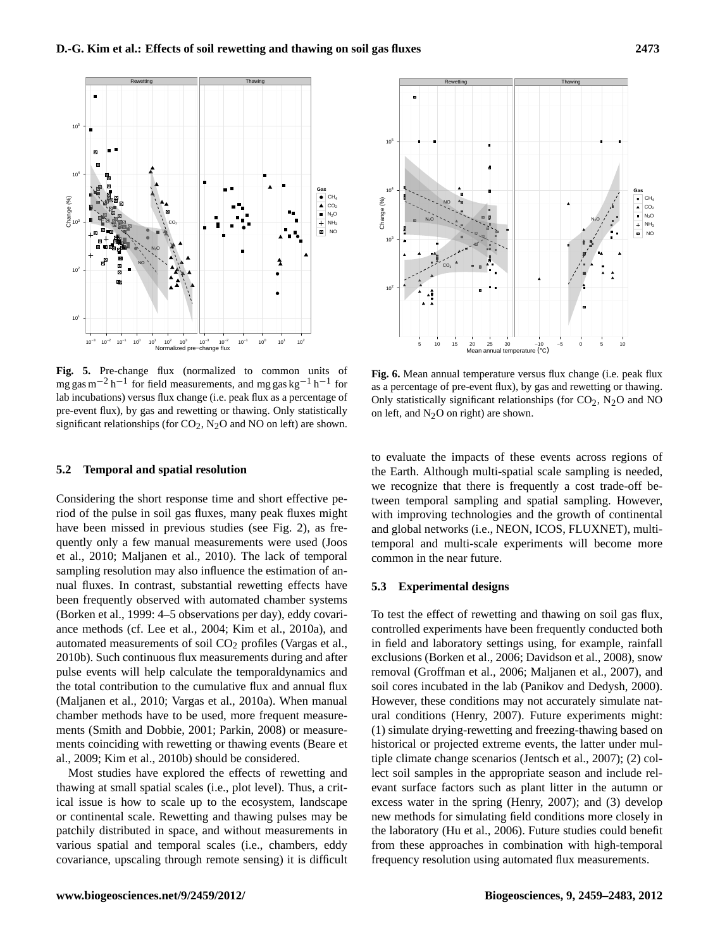

**Fig. 5.** Pre-change flux (normalized to common units of mg gas m<sup>-2</sup> h<sup>-1</sup> for field measurements, and mg gas kg<sup>-1</sup> h<sup>-1</sup> for lab incubations) versus flux change (i.e. peak flux as a percentage of pre-event flux), by gas and rewetting or thawing. Only statistically significant relationships (for  $CO_2$ , N<sub>2</sub>O and NO on left) are shown.

#### **5.2 Temporal and spatial resolution**

Considering the short response time and short effective period of the pulse in soil gas fluxes, many peak fluxes might have been missed in previous studies (see Fig. 2), as frequently only a few manual measurements were used (Joos et al., 2010; Maljanen et al., 2010). The lack of temporal sampling resolution may also influence the estimation of annual fluxes. In contrast, substantial rewetting effects have been frequently observed with automated chamber systems (Borken et al., 1999: 4–5 observations per day), eddy covariance methods (cf. Lee et al., 2004; Kim et al., 2010a), and automated measurements of soil CO<sub>2</sub> profiles (Vargas et al., 2010b). Such continuous flux measurements during and after pulse events will help calculate the temporaldynamics and the total contribution to the cumulative flux and annual flux (Maljanen et al., 2010; Vargas et al., 2010a). When manual chamber methods have to be used, more frequent measurements (Smith and Dobbie, 2001; Parkin, 2008) or measurements coinciding with rewetting or thawing events (Beare et al., 2009; Kim et al., 2010b) should be considered.

Most studies have explored the effects of rewetting and thawing at small spatial scales (i.e., plot level). Thus, a critical issue is how to scale up to the ecosystem, landscape or continental scale. Rewetting and thawing pulses may be patchily distributed in space, and without measurements in various spatial and temporal scales (i.e., chambers, eddy covariance, upscaling through remote sensing) it is difficult



**Fig. 6.** Mean annual temperature versus flux change (i.e. peak flux as a percentage of pre-event flux), by gas and rewetting or thawing. Only statistically significant relationships (for  $CO_2$ , N<sub>2</sub>O and NO on left, and  $N_2O$  on right) are shown.

to evaluate the impacts of these events across regions of the Earth. Although multi-spatial scale sampling is needed, we recognize that there is frequently a cost trade-off between temporal sampling and spatial sampling. However, with improving technologies and the growth of continental and global networks (i.e., NEON, ICOS, FLUXNET), multitemporal and multi-scale experiments will become more common in the near future.

#### **5.3 Experimental designs**

To test the effect of rewetting and thawing on soil gas flux, controlled experiments have been frequently conducted both in field and laboratory settings using, for example, rainfall exclusions (Borken et al., 2006; Davidson et al., 2008), snow removal (Groffman et al., 2006; Maljanen et al., 2007), and soil cores incubated in the lab (Panikov and Dedysh, 2000). However, these conditions may not accurately simulate natural conditions (Henry, 2007). Future experiments might: (1) simulate drying-rewetting and freezing-thawing based on historical or projected extreme events, the latter under multiple climate change scenarios (Jentsch et al., 2007); (2) collect soil samples in the appropriate season and include relevant surface factors such as plant litter in the autumn or excess water in the spring (Henry, 2007); and (3) develop new methods for simulating field conditions more closely in the laboratory (Hu et al., 2006). Future studies could benefit from these approaches in combination with high-temporal frequency resolution using automated flux measurements.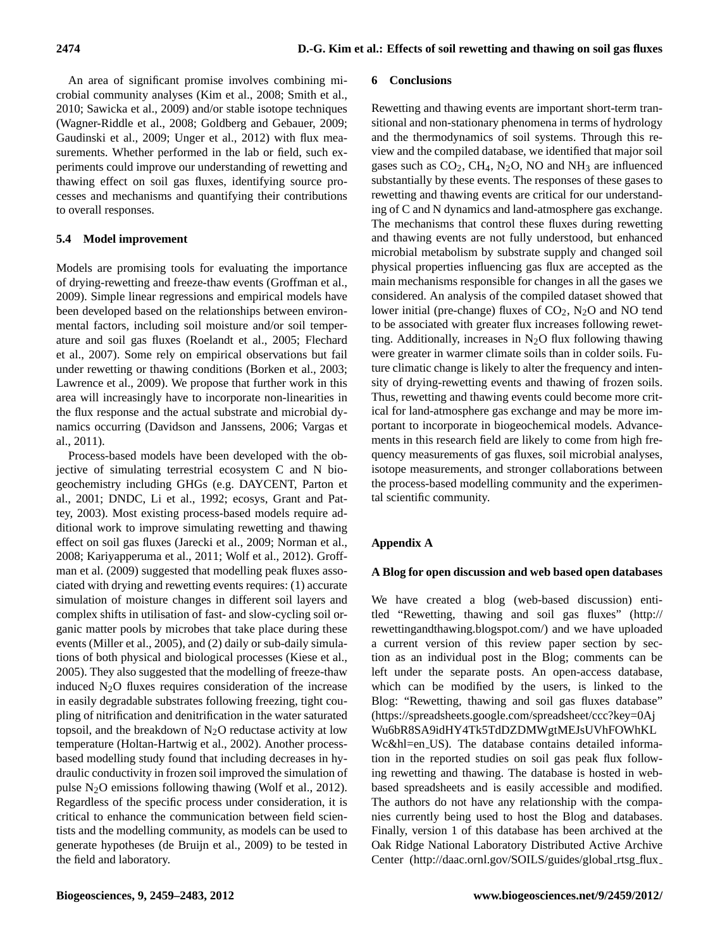An area of significant promise involves combining microbial community analyses (Kim et al., 2008; Smith et al., 2010; Sawicka et al., 2009) and/or stable isotope techniques (Wagner-Riddle et al., 2008; Goldberg and Gebauer, 2009; Gaudinski et al., 2009; Unger et al., 2012) with flux measurements. Whether performed in the lab or field, such experiments could improve our understanding of rewetting and thawing effect on soil gas fluxes, identifying source processes and mechanisms and quantifying their contributions to overall responses.

# **5.4 Model improvement**

Models are promising tools for evaluating the importance of drying-rewetting and freeze-thaw events (Groffman et al., 2009). Simple linear regressions and empirical models have been developed based on the relationships between environmental factors, including soil moisture and/or soil temperature and soil gas fluxes (Roelandt et al., 2005; Flechard et al., 2007). Some rely on empirical observations but fail under rewetting or thawing conditions (Borken et al., 2003; Lawrence et al., 2009). We propose that further work in this area will increasingly have to incorporate non-linearities in the flux response and the actual substrate and microbial dynamics occurring (Davidson and Janssens, 2006; Vargas et al., 2011).

Process-based models have been developed with the objective of simulating terrestrial ecosystem C and N biogeochemistry including GHGs (e.g. DAYCENT, Parton et al., 2001; DNDC, Li et al., 1992; ecosys, Grant and Pattey, 2003). Most existing process-based models require additional work to improve simulating rewetting and thawing effect on soil gas fluxes (Jarecki et al., 2009; Norman et al., 2008; Kariyapperuma et al., 2011; Wolf et al., 2012). Groffman et al. (2009) suggested that modelling peak fluxes associated with drying and rewetting events requires: (1) accurate simulation of moisture changes in different soil layers and complex shifts in utilisation of fast- and slow-cycling soil organic matter pools by microbes that take place during these events (Miller et al., 2005), and (2) daily or sub-daily simulations of both physical and biological processes (Kiese et al., 2005). They also suggested that the modelling of freeze-thaw induced  $N_2O$  fluxes requires consideration of the increase in easily degradable substrates following freezing, tight coupling of nitrification and denitrification in the water saturated topsoil, and the breakdown of  $N_2O$  reductase activity at low temperature (Holtan-Hartwig et al., 2002). Another processbased modelling study found that including decreases in hydraulic conductivity in frozen soil improved the simulation of pulse N2O emissions following thawing (Wolf et al., 2012). Regardless of the specific process under consideration, it is critical to enhance the communication between field scientists and the modelling community, as models can be used to generate hypotheses (de Bruijn et al., 2009) to be tested in the field and laboratory.

## **6 Conclusions**

Rewetting and thawing events are important short-term transitional and non-stationary phenomena in terms of hydrology and the thermodynamics of soil systems. Through this review and the compiled database, we identified that major soil gases such as  $CO<sub>2</sub>$ , CH<sub>4</sub>, N<sub>2</sub>O, NO and NH<sub>3</sub> are influenced substantially by these events. The responses of these gases to rewetting and thawing events are critical for our understanding of C and N dynamics and land-atmosphere gas exchange. The mechanisms that control these fluxes during rewetting and thawing events are not fully understood, but enhanced microbial metabolism by substrate supply and changed soil physical properties influencing gas flux are accepted as the main mechanisms responsible for changes in all the gases we considered. An analysis of the compiled dataset showed that lower initial (pre-change) fluxes of  $CO<sub>2</sub>$ , N<sub>2</sub>O and NO tend to be associated with greater flux increases following rewetting. Additionally, increases in  $N_2O$  flux following thawing were greater in warmer climate soils than in colder soils. Future climatic change is likely to alter the frequency and intensity of drying-rewetting events and thawing of frozen soils. Thus, rewetting and thawing events could become more critical for land-atmosphere gas exchange and may be more important to incorporate in biogeochemical models. Advancements in this research field are likely to come from high frequency measurements of gas fluxes, soil microbial analyses, isotope measurements, and stronger collaborations between the process-based modelling community and the experimental scientific community.

# **Appendix A**

## **A Blog for open discussion and web based open databases**

We have created a blog (web-based discussion) entitled "Rewetting, thawing and soil gas fluxes" [\(http://](http://rewettingandthawing.blogspot.com/) [rewettingandthawing.blogspot.com/\)](http://rewettingandthawing.blogspot.com/) and we have uploaded a current version of this review paper section by section as an individual post in the Blog; comments can be left under the separate posts. An open-access database, which can be modified by the users, is linked to the Blog: "Rewetting, thawing and soil gas fluxes database" [\(https://spreadsheets.google.com/spreadsheet/ccc?key=0Aj](https://spreadsheets.google.com/spreadsheet/ccc?key=0AjWu6bR8SA9idHY4Tk5TdDZDMWgtMEJsUVhFOWhKLWc&hl=en_US) [Wu6bR8SA9idHY4Tk5TdDZDMWgtMEJsUVhFOWhKL](https://spreadsheets.google.com/spreadsheet/ccc?key=0AjWu6bR8SA9idHY4Tk5TdDZDMWgtMEJsUVhFOWhKLWc&hl=en_US) [Wc&hl=en](https://spreadsheets.google.com/spreadsheet/ccc?key=0AjWu6bR8SA9idHY4Tk5TdDZDMWgtMEJsUVhFOWhKLWc&hl=en_US) US). The database contains detailed information in the reported studies on soil gas peak flux following rewetting and thawing. The database is hosted in webbased spreadsheets and is easily accessible and modified. The authors do not have any relationship with the companies currently being used to host the Blog and databases. Finally, version 1 of this database has been archived at the Oak Ridge National Laboratory Distributed Active Archive Center [\(http://daac.ornl.gov/SOILS/guides/global](http://daac.ornl.gov/SOILS/guides/global_rtsg_flux_v1.html)\_rtsg\_flux\_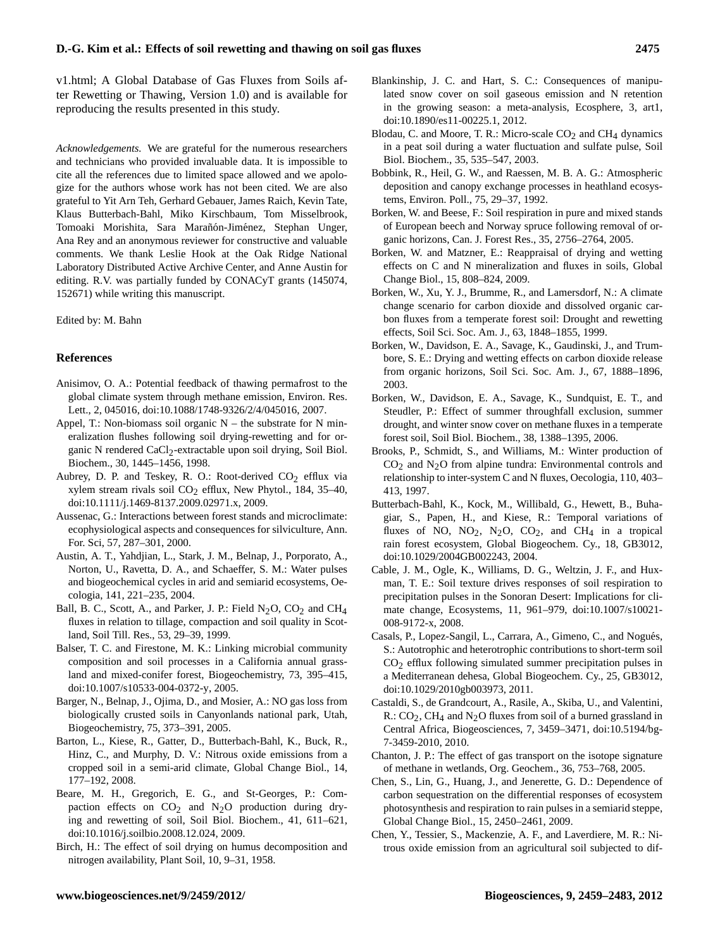[v1.html;](http://daac.ornl.gov/SOILS/guides/global_rtsg_flux_v1.html) A Global Database of Gas Fluxes from Soils after Rewetting or Thawing, Version 1.0) and is available for reproducing the results presented in this study.

*Acknowledgements.* We are grateful for the numerous researchers and technicians who provided invaluable data. It is impossible to cite all the references due to limited space allowed and we apologize for the authors whose work has not been cited. We are also grateful to Yit Arn Teh, Gerhard Gebauer, James Raich, Kevin Tate, Klaus Butterbach-Bahl, Miko Kirschbaum, Tom Misselbrook, Tomoaki Morishita, Sara Marañón-Jiménez, Stephan Unger, Ana Rey and an anonymous reviewer for constructive and valuable comments. We thank Leslie Hook at the Oak Ridge National Laboratory Distributed Active Archive Center, and Anne Austin for editing. R.V. was partially funded by CONACyT grants (145074, 152671) while writing this manuscript.

#### Edited by: M. Bahn

#### **References**

- Anisimov, O. A.: Potential feedback of thawing permafrost to the global climate system through methane emission, Environ. Res. Lett., 2, 045016, [doi:10.1088/1748-9326/2/4/045016,](http://dx.doi.org/10.1088/1748-9326/2/4/045016) 2007.
- Appel, T.: Non-biomass soil organic  $N -$  the substrate for N mineralization flushes following soil drying-rewetting and for organic N rendered CaCl<sub>2</sub>-extractable upon soil drying, Soil Biol. Biochem., 30, 1445–1456, 1998.
- Aubrey, D. P. and Teskey, R. O.: Root-derived  $CO<sub>2</sub>$  efflux via xylem stream rivals soil  $CO<sub>2</sub>$  efflux, New Phytol., 184, 35-40, [doi:10.1111/j.1469-8137.2009.02971.x,](http://dx.doi.org/10.1111/j.1469-8137.2009.02971.x) 2009.
- Aussenac, G.: Interactions between forest stands and microclimate: ecophysiological aspects and consequences for silviculture, Ann. For. Sci, 57, 287–301, 2000.
- Austin, A. T., Yahdjian, L., Stark, J. M., Belnap, J., Porporato, A., Norton, U., Ravetta, D. A., and Schaeffer, S. M.: Water pulses and biogeochemical cycles in arid and semiarid ecosystems, Oecologia, 141, 221–235, 2004.
- Ball, B. C., Scott, A., and Parker, J. P.: Field  $N_2O$ ,  $CO_2$  and  $CH_4$ fluxes in relation to tillage, compaction and soil quality in Scotland, Soil Till. Res., 53, 29–39, 1999.
- Balser, T. C. and Firestone, M. K.: Linking microbial community composition and soil processes in a California annual grassland and mixed-conifer forest, Biogeochemistry, 73, 395–415, [doi:10.1007/s10533-004-0372-y,](http://dx.doi.org/10.1007/s10533-004-0372-y) 2005.
- Barger, N., Belnap, J., Ojima, D., and Mosier, A.: NO gas loss from biologically crusted soils in Canyonlands national park, Utah, Biogeochemistry, 75, 373–391, 2005.
- Barton, L., Kiese, R., Gatter, D., Butterbach-Bahl, K., Buck, R., Hinz, C., and Murphy, D. V.: Nitrous oxide emissions from a cropped soil in a semi-arid climate, Global Change Biol., 14, 177–192, 2008.
- Beare, M. H., Gregorich, E. G., and St-Georges, P.: Compaction effects on  $CO<sub>2</sub>$  and  $N<sub>2</sub>O$  production during drying and rewetting of soil, Soil Biol. Biochem., 41, 611–621, [doi:10.1016/j.soilbio.2008.12.024,](http://dx.doi.org/10.1016/j.soilbio.2008.12.024) 2009.
- Birch, H.: The effect of soil drying on humus decomposition and nitrogen availability, Plant Soil, 10, 9–31, 1958.
- Blankinship, J. C. and Hart, S. C.: Consequences of manipulated snow cover on soil gaseous emission and N retention in the growing season: a meta-analysis, Ecosphere, 3, art1, [doi:10.1890/es11-00225.1,](http://dx.doi.org/10.1890/es11-00225.1) 2012.
- Blodau, C. and Moore, T. R.: Micro-scale  $CO<sub>2</sub>$  and CH<sub>4</sub> dynamics in a peat soil during a water fluctuation and sulfate pulse, Soil Biol. Biochem., 35, 535–547, 2003.
- Bobbink, R., Heil, G. W., and Raessen, M. B. A. G.: Atmospheric deposition and canopy exchange processes in heathland ecosystems, Environ. Poll., 75, 29–37, 1992.
- Borken, W. and Beese, F.: Soil respiration in pure and mixed stands of European beech and Norway spruce following removal of organic horizons, Can. J. Forest Res., 35, 2756–2764, 2005.
- Borken, W. and Matzner, E.: Reappraisal of drying and wetting effects on C and N mineralization and fluxes in soils, Global Change Biol., 15, 808–824, 2009.
- Borken, W., Xu, Y. J., Brumme, R., and Lamersdorf, N.: A climate change scenario for carbon dioxide and dissolved organic carbon fluxes from a temperate forest soil: Drought and rewetting effects, Soil Sci. Soc. Am. J., 63, 1848–1855, 1999.
- Borken, W., Davidson, E. A., Savage, K., Gaudinski, J., and Trumbore, S. E.: Drying and wetting effects on carbon dioxide release from organic horizons, Soil Sci. Soc. Am. J., 67, 1888–1896, 2003.
- Borken, W., Davidson, E. A., Savage, K., Sundquist, E. T., and Steudler, P.: Effect of summer throughfall exclusion, summer drought, and winter snow cover on methane fluxes in a temperate forest soil, Soil Biol. Biochem., 38, 1388–1395, 2006.
- Brooks, P., Schmidt, S., and Williams, M.: Winter production of  $CO<sub>2</sub>$  and N<sub>2</sub>O from alpine tundra: Environmental controls and relationship to inter-system C and N fluxes, Oecologia, 110, 403– 413, 1997.
- Butterbach-Bahl, K., Kock, M., Willibald, G., Hewett, B., Buhagiar, S., Papen, H., and Kiese, R.: Temporal variations of fluxes of NO, NO<sub>2</sub>, N<sub>2</sub>O, CO<sub>2</sub>, and CH<sub>4</sub> in a tropical rain forest ecosystem, Global Biogeochem. Cy., 18, GB3012, [doi:10.1029/2004GB002243,](http://dx.doi.org/10.1029/2004GB002243) 2004.
- Cable, J. M., Ogle, K., Williams, D. G., Weltzin, J. F., and Huxman, T. E.: Soil texture drives responses of soil respiration to precipitation pulses in the Sonoran Desert: Implications for climate change, Ecosystems, 11, 961–979, [doi:10.1007/s10021-](http://dx.doi.org/10.1007/s10021-008-9172-x) [008-9172-x,](http://dx.doi.org/10.1007/s10021-008-9172-x) 2008.
- Casals, P., Lopez-Sangil, L., Carrara, A., Gimeno, C., and Nogués, S.: Autotrophic and heterotrophic contributions to short-term soil CO2 efflux following simulated summer precipitation pulses in a Mediterranean dehesa, Global Biogeochem. Cy., 25, GB3012, [doi:10.1029/2010gb003973,](http://dx.doi.org/10.1029/2010gb003973) 2011.
- Castaldi, S., de Grandcourt, A., Rasile, A., Skiba, U., and Valentini, R.:  $CO<sub>2</sub>$ , CH<sub>4</sub> and N<sub>2</sub>O fluxes from soil of a burned grassland in Central Africa, Biogeosciences, 7, 3459–3471, [doi:10.5194/bg-](http://dx.doi.org/10.5194/bg-7-3459-2010)[7-3459-2010,](http://dx.doi.org/10.5194/bg-7-3459-2010) 2010.
- Chanton, J. P.: The effect of gas transport on the isotope signature of methane in wetlands, Org. Geochem., 36, 753–768, 2005.
- Chen, S., Lin, G., Huang, J., and Jenerette, G. D.: Dependence of carbon sequestration on the differential responses of ecosystem photosynthesis and respiration to rain pulses in a semiarid steppe, Global Change Biol., 15, 2450–2461, 2009.
- Chen, Y., Tessier, S., Mackenzie, A. F., and Laverdiere, M. R.: Nitrous oxide emission from an agricultural soil subjected to dif-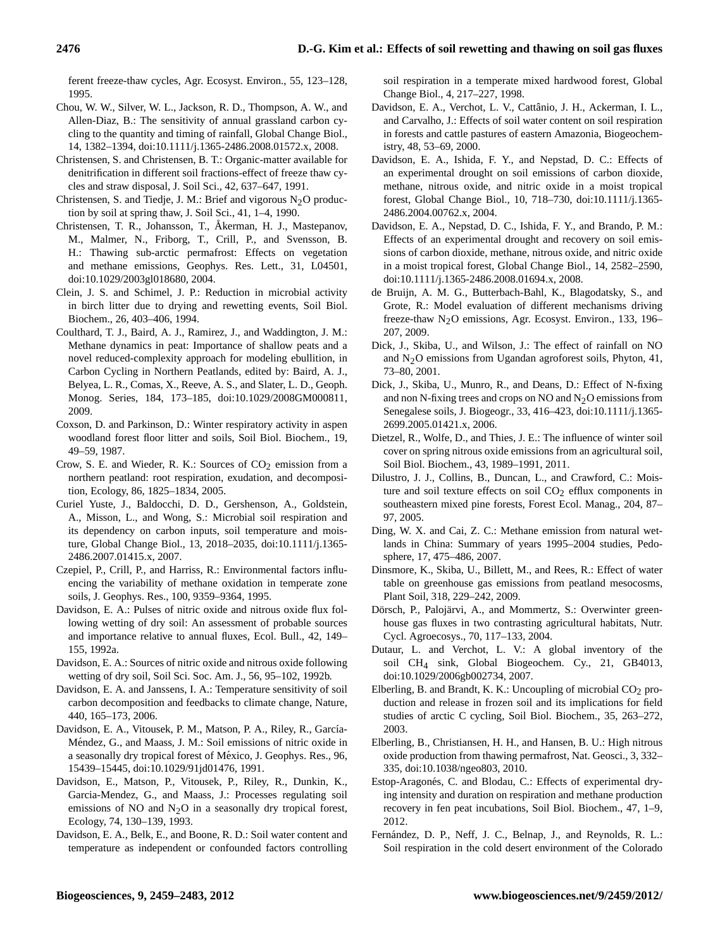ferent freeze-thaw cycles, Agr. Ecosyst. Environ., 55, 123–128, 1995.

- Chou, W. W., Silver, W. L., Jackson, R. D., Thompson, A. W., and Allen-Diaz, B.: The sensitivity of annual grassland carbon cycling to the quantity and timing of rainfall, Global Change Biol., 14, 1382–1394, [doi:10.1111/j.1365-2486.2008.01572.x,](http://dx.doi.org/10.1111/j.1365-2486.2008.01572.x) 2008.
- Christensen, S. and Christensen, B. T.: Organic-matter available for denitrification in different soil fractions-effect of freeze thaw cycles and straw disposal, J. Soil Sci., 42, 637–647, 1991.
- Christensen, S. and Tiedje, J. M.: Brief and vigorous  $N_2O$  production by soil at spring thaw, J. Soil Sci., 41, 1–4, 1990.
- Christensen, T. R., Johansson, T., Åkerman, H. J., Mastepanov, M., Malmer, N., Friborg, T., Crill, P., and Svensson, B. H.: Thawing sub-arctic permafrost: Effects on vegetation and methane emissions, Geophys. Res. Lett., 31, L04501, [doi:10.1029/2003gl018680,](http://dx.doi.org/10.1029/2003gl018680) 2004.
- Clein, J. S. and Schimel, J. P.: Reduction in microbial activity in birch litter due to drying and rewetting events, Soil Biol. Biochem., 26, 403–406, 1994.
- Coulthard, T. J., Baird, A. J., Ramirez, J., and Waddington, J. M.: Methane dynamics in peat: Importance of shallow peats and a novel reduced-complexity approach for modeling ebullition, in Carbon Cycling in Northern Peatlands, edited by: Baird, A. J., Belyea, L. R., Comas, X., Reeve, A. S., and Slater, L. D., Geoph. Monog. Series, 184, 173–185, [doi:10.1029/2008GM000811,](http://dx.doi.org/10.1029/2008GM000811) 2009.
- Coxson, D. and Parkinson, D.: Winter respiratory activity in aspen woodland forest floor litter and soils, Soil Biol. Biochem., 19, 49–59, 1987.
- Crow, S. E. and Wieder, R. K.: Sources of  $CO<sub>2</sub>$  emission from a northern peatland: root respiration, exudation, and decomposition, Ecology, 86, 1825–1834, 2005.
- Curiel Yuste, J., Baldocchi, D. D., Gershenson, A., Goldstein, A., Misson, L., and Wong, S.: Microbial soil respiration and its dependency on carbon inputs, soil temperature and moisture, Global Change Biol., 13, 2018–2035, [doi:10.1111/j.1365-](http://dx.doi.org/10.1111/j.1365-2486.2007.01415.x) [2486.2007.01415.x,](http://dx.doi.org/10.1111/j.1365-2486.2007.01415.x) 2007.
- Czepiel, P., Crill, P., and Harriss, R.: Environmental factors influencing the variability of methane oxidation in temperate zone soils, J. Geophys. Res., 100, 9359–9364, 1995.
- Davidson, E. A.: Pulses of nitric oxide and nitrous oxide flux following wetting of dry soil: An assessment of probable sources and importance relative to annual fluxes, Ecol. Bull., 42, 149– 155, 1992a.
- Davidson, E. A.: Sources of nitric oxide and nitrous oxide following wetting of dry soil, Soil Sci. Soc. Am. J., 56, 95–102, 1992b.
- Davidson, E. A. and Janssens, I. A.: Temperature sensitivity of soil carbon decomposition and feedbacks to climate change, Nature, 440, 165–173, 2006.
- Davidson, E. A., Vitousek, P. M., Matson, P. A., Riley, R., García-Mendez, G., and Maass, J. M.: Soil emissions of nitric oxide in ´ a seasonally dry tropical forest of México, J. Geophys. Res., 96, 15439–15445, [doi:10.1029/91jd01476,](http://dx.doi.org/10.1029/91jd01476) 1991.
- Davidson, E., Matson, P., Vitousek, P., Riley, R., Dunkin, K., Garcia-Mendez, G., and Maass, J.: Processes regulating soil emissions of NO and  $N<sub>2</sub>O$  in a seasonally dry tropical forest, Ecology, 74, 130–139, 1993.
- Davidson, E. A., Belk, E., and Boone, R. D.: Soil water content and temperature as independent or confounded factors controlling

soil respiration in a temperate mixed hardwood forest, Global Change Biol., 4, 217–227, 1998.

- Davidson, E. A., Verchot, L. V., Cattânio, J. H., Ackerman, I. L., and Carvalho, J.: Effects of soil water content on soil respiration in forests and cattle pastures of eastern Amazonia, Biogeochemistry, 48, 53–69, 2000.
- Davidson, E. A., Ishida, F. Y., and Nepstad, D. C.: Effects of an experimental drought on soil emissions of carbon dioxide, methane, nitrous oxide, and nitric oxide in a moist tropical forest, Global Change Biol., 10, 718–730, [doi:10.1111/j.1365-](http://dx.doi.org/10.1111/j.1365-2486.2004.00762.x) [2486.2004.00762.x,](http://dx.doi.org/10.1111/j.1365-2486.2004.00762.x) 2004.
- Davidson, E. A., Nepstad, D. C., Ishida, F. Y., and Brando, P. M.: Effects of an experimental drought and recovery on soil emissions of carbon dioxide, methane, nitrous oxide, and nitric oxide in a moist tropical forest, Global Change Biol., 14, 2582–2590, [doi:10.1111/j.1365-2486.2008.01694.x,](http://dx.doi.org/10.1111/j.1365-2486.2008.01694.x) 2008.
- de Bruijn, A. M. G., Butterbach-Bahl, K., Blagodatsky, S., and Grote, R.: Model evaluation of different mechanisms driving freeze-thaw N<sub>2</sub>O emissions, Agr. Ecosyst. Environ., 133, 196– 207, 2009.
- Dick, J., Skiba, U., and Wilson, J.: The effect of rainfall on NO and N2O emissions from Ugandan agroforest soils, Phyton, 41, 73–80, 2001.
- Dick, J., Skiba, U., Munro, R., and Deans, D.: Effect of N-fixing and non N-fixing trees and crops on NO and  $N<sub>2</sub>O$  emissions from Senegalese soils, J. Biogeogr., 33, 416–423, [doi:10.1111/j.1365-](http://dx.doi.org/10.1111/j.1365-2699.2005.01421.x) [2699.2005.01421.x,](http://dx.doi.org/10.1111/j.1365-2699.2005.01421.x) 2006.
- Dietzel, R., Wolfe, D., and Thies, J. E.: The influence of winter soil cover on spring nitrous oxide emissions from an agricultural soil, Soil Biol. Biochem., 43, 1989–1991, 2011.
- Dilustro, J. J., Collins, B., Duncan, L., and Crawford, C.: Moisture and soil texture effects on soil  $CO<sub>2</sub>$  efflux components in southeastern mixed pine forests, Forest Ecol. Manag., 204, 87– 97, 2005.
- Ding, W. X. and Cai, Z. C.: Methane emission from natural wetlands in China: Summary of years 1995–2004 studies, Pedosphere, 17, 475–486, 2007.
- Dinsmore, K., Skiba, U., Billett, M., and Rees, R.: Effect of water table on greenhouse gas emissions from peatland mesocosms, Plant Soil, 318, 229–242, 2009.
- Dörsch, P., Palojärvi, A., and Mommertz, S.: Overwinter greenhouse gas fluxes in two contrasting agricultural habitats, Nutr. Cycl. Agroecosys., 70, 117–133, 2004.
- Dutaur, L. and Verchot, L. V.: A global inventory of the soil CH4 sink, Global Biogeochem. Cy., 21, GB4013, [doi:10.1029/2006gb002734,](http://dx.doi.org/10.1029/2006gb002734) 2007.
- Elberling, B. and Brandt, K. K.: Uncoupling of microbial  $CO<sub>2</sub>$  production and release in frozen soil and its implications for field studies of arctic C cycling, Soil Biol. Biochem., 35, 263–272, 2003.
- Elberling, B., Christiansen, H. H., and Hansen, B. U.: High nitrous oxide production from thawing permafrost, Nat. Geosci., 3, 332– 335, [doi:10.1038/ngeo803,](http://dx.doi.org/10.1038/ngeo803) 2010.
- Estop-Aragonés, C. and Blodau, C.: Effects of experimental drying intensity and duration on respiration and methane production recovery in fen peat incubations, Soil Biol. Biochem., 47, 1–9, 2012.
- Fernández, D. P., Neff, J. C., Belnap, J., and Reynolds, R. L.: Soil respiration in the cold desert environment of the Colorado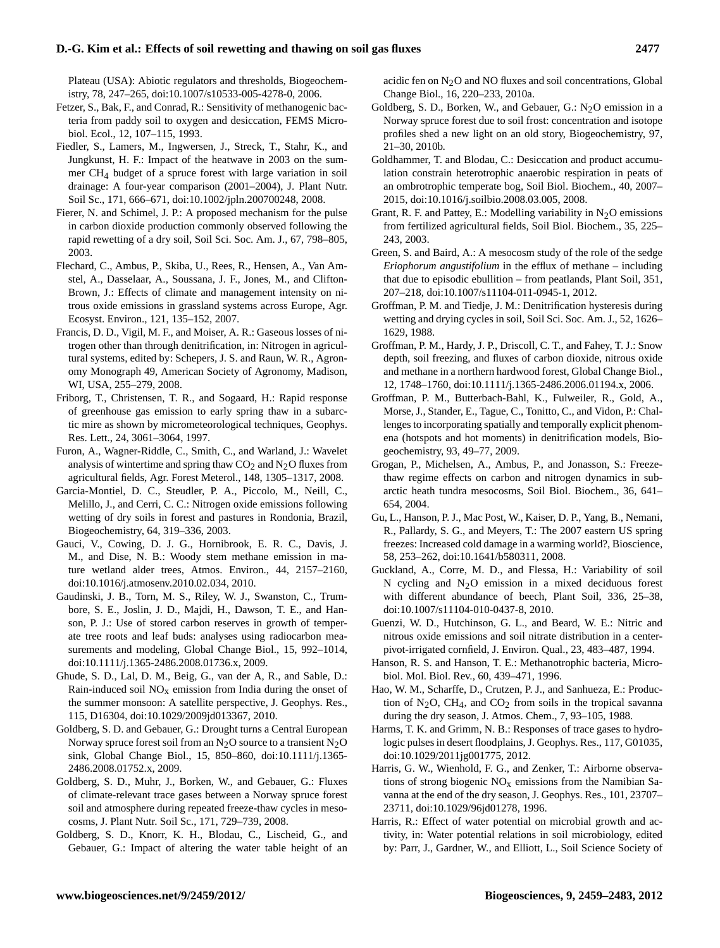Plateau (USA): Abiotic regulators and thresholds, Biogeochemistry, 78, 247–265, [doi:10.1007/s10533-005-4278-0,](http://dx.doi.org/10.1007/s10533-005-4278-0) 2006.

Fetzer, S., Bak, F., and Conrad, R.: Sensitivity of methanogenic bacteria from paddy soil to oxygen and desiccation, FEMS Microbiol. Ecol., 12, 107–115, 1993.

Fiedler, S., Lamers, M., Ingwersen, J., Streck, T., Stahr, K., and Jungkunst, H. F.: Impact of the heatwave in 2003 on the summer CH4 budget of a spruce forest with large variation in soil drainage: A four-year comparison (2001–2004), J. Plant Nutr. Soil Sc., 171, 666–671, [doi:10.1002/jpln.200700248,](http://dx.doi.org/10.1002/jpln.200700248) 2008.

Fierer, N. and Schimel, J. P.: A proposed mechanism for the pulse in carbon dioxide production commonly observed following the rapid rewetting of a dry soil, Soil Sci. Soc. Am. J., 67, 798–805, 2003.

Flechard, C., Ambus, P., Skiba, U., Rees, R., Hensen, A., Van Amstel, A., Dasselaar, A., Soussana, J. F., Jones, M., and Clifton-Brown, J.: Effects of climate and management intensity on nitrous oxide emissions in grassland systems across Europe, Agr. Ecosyst. Environ., 121, 135–152, 2007.

Francis, D. D., Vigil, M. F., and Moiser, A. R.: Gaseous losses of nitrogen other than through denitrification, in: Nitrogen in agricultural systems, edited by: Schepers, J. S. and Raun, W. R., Agronomy Monograph 49, American Society of Agronomy, Madison, WI, USA, 255–279, 2008.

Friborg, T., Christensen, T. R., and Sogaard, H.: Rapid response of greenhouse gas emission to early spring thaw in a subarctic mire as shown by micrometeorological techniques, Geophys. Res. Lett., 24, 3061–3064, 1997.

Furon, A., Wagner-Riddle, C., Smith, C., and Warland, J.: Wavelet analysis of wintertime and spring thaw  $CO<sub>2</sub>$  and  $N<sub>2</sub>O$  fluxes from agricultural fields, Agr. Forest Meterol., 148, 1305–1317, 2008.

Garcia-Montiel, D. C., Steudler, P. A., Piccolo, M., Neill, C., Melillo, J., and Cerri, C. C.: Nitrogen oxide emissions following wetting of dry soils in forest and pastures in Rondonia, Brazil, Biogeochemistry, 64, 319–336, 2003.

Gauci, V., Cowing, D. J. G., Hornibrook, E. R. C., Davis, J. M., and Dise, N. B.: Woody stem methane emission in mature wetland alder trees, Atmos. Environ., 44, 2157–2160, [doi:10.1016/j.atmosenv.2010.02.034,](http://dx.doi.org/10.1016/j.atmosenv.2010.02.034) 2010.

Gaudinski, J. B., Torn, M. S., Riley, W. J., Swanston, C., Trumbore, S. E., Joslin, J. D., Majdi, H., Dawson, T. E., and Hanson, P. J.: Use of stored carbon reserves in growth of temperate tree roots and leaf buds: analyses using radiocarbon measurements and modeling, Global Change Biol., 15, 992–1014, [doi:10.1111/j.1365-2486.2008.01736.x,](http://dx.doi.org/10.1111/j.1365-2486.2008.01736.x) 2009.

Ghude, S. D., Lal, D. M., Beig, G., van der A, R., and Sable, D.: Rain-induced soil  $NO<sub>x</sub>$  emission from India during the onset of the summer monsoon: A satellite perspective, J. Geophys. Res., 115, D16304, [doi:10.1029/2009jd013367,](http://dx.doi.org/10.1029/2009jd013367) 2010.

Goldberg, S. D. and Gebauer, G.: Drought turns a Central European Norway spruce forest soil from an  $N_2O$  source to a transient  $N_2O$ sink, Global Change Biol., 15, 850–860, [doi:10.1111/j.1365-](http://dx.doi.org/10.1111/j.1365-2486.2008.01752.x) [2486.2008.01752.x,](http://dx.doi.org/10.1111/j.1365-2486.2008.01752.x) 2009.

Goldberg, S. D., Muhr, J., Borken, W., and Gebauer, G.: Fluxes of climate-relevant trace gases between a Norway spruce forest soil and atmosphere during repeated freeze-thaw cycles in mesocosms, J. Plant Nutr. Soil Sc., 171, 729–739, 2008.

Goldberg, S. D., Knorr, K. H., Blodau, C., Lischeid, G., and Gebauer, G.: Impact of altering the water table height of an acidic fen on  $N<sub>2</sub>O$  and NO fluxes and soil concentrations, Global Change Biol., 16, 220–233, 2010a.

Goldberg, S. D., Borken, W., and Gebauer, G.:  $N<sub>2</sub>O$  emission in a Norway spruce forest due to soil frost: concentration and isotope profiles shed a new light on an old story, Biogeochemistry, 97, 21–30, 2010b.

Goldhammer, T. and Blodau, C.: Desiccation and product accumulation constrain heterotrophic anaerobic respiration in peats of an ombrotrophic temperate bog, Soil Biol. Biochem., 40, 2007– 2015, [doi:10.1016/j.soilbio.2008.03.005,](http://dx.doi.org/10.1016/j.soilbio.2008.03.005) 2008.

Grant, R. F. and Pattey, E.: Modelling variability in  $N_2O$  emissions from fertilized agricultural fields, Soil Biol. Biochem., 35, 225– 243, 2003.

Green, S. and Baird, A.: A mesocosm study of the role of the sedge *Eriophorum angustifolium* in the efflux of methane – including that due to episodic ebullition – from peatlands, Plant Soil, 351, 207–218, [doi:10.1007/s11104-011-0945-1,](http://dx.doi.org/10.1007/s11104-011-0945-1) 2012.

Groffman, P. M. and Tiedje, J. M.: Denitrification hysteresis during wetting and drying cycles in soil, Soil Sci. Soc. Am. J., 52, 1626– 1629, 1988.

Groffman, P. M., Hardy, J. P., Driscoll, C. T., and Fahey, T. J.: Snow depth, soil freezing, and fluxes of carbon dioxide, nitrous oxide and methane in a northern hardwood forest, Global Change Biol., 12, 1748–1760, [doi:10.1111/j.1365-2486.2006.01194.x,](http://dx.doi.org/10.1111/j.1365-2486.2006.01194.x) 2006.

Groffman, P. M., Butterbach-Bahl, K., Fulweiler, R., Gold, A., Morse, J., Stander, E., Tague, C., Tonitto, C., and Vidon, P.: Challenges to incorporating spatially and temporally explicit phenomena (hotspots and hot moments) in denitrification models, Biogeochemistry, 93, 49–77, 2009.

Grogan, P., Michelsen, A., Ambus, P., and Jonasson, S.: Freezethaw regime effects on carbon and nitrogen dynamics in subarctic heath tundra mesocosms, Soil Biol. Biochem., 36, 641– 654, 2004.

Gu, L., Hanson, P. J., Mac Post, W., Kaiser, D. P., Yang, B., Nemani, R., Pallardy, S. G., and Meyers, T.: The 2007 eastern US spring freezes: Increased cold damage in a warming world?, Bioscience, 58, 253–262, [doi:10.1641/b580311,](http://dx.doi.org/10.1641/b580311) 2008.

Guckland, A., Corre, M. D., and Flessa, H.: Variability of soil N cycling and  $N_2O$  emission in a mixed deciduous forest with different abundance of beech, Plant Soil, 336, 25–38, [doi:10.1007/s11104-010-0437-8,](http://dx.doi.org/10.1007/s11104-010-0437-8) 2010.

Guenzi, W. D., Hutchinson, G. L., and Beard, W. E.: Nitric and nitrous oxide emissions and soil nitrate distribution in a centerpivot-irrigated cornfield, J. Environ. Qual., 23, 483–487, 1994.

Hanson, R. S. and Hanson, T. E.: Methanotrophic bacteria, Microbiol. Mol. Biol. Rev., 60, 439–471, 1996.

Hao, W. M., Scharffe, D., Crutzen, P. J., and Sanhueza, E.: Production of  $N_2O$ , CH<sub>4</sub>, and CO<sub>2</sub> from soils in the tropical savanna during the dry season, J. Atmos. Chem., 7, 93–105, 1988.

Harms, T. K. and Grimm, N. B.: Responses of trace gases to hydrologic pulses in desert floodplains, J. Geophys. Res., 117, G01035, [doi:10.1029/2011jg001775,](http://dx.doi.org/10.1029/2011jg001775) 2012.

Harris, G. W., Wienhold, F. G., and Zenker, T.: Airborne observations of strong biogenic  $NO<sub>x</sub>$  emissions from the Namibian Savanna at the end of the dry season, J. Geophys. Res., 101, 23707– 23711, [doi:10.1029/96jd01278,](http://dx.doi.org/10.1029/96jd01278) 1996.

Harris, R.: Effect of water potential on microbial growth and activity, in: Water potential relations in soil microbiology, edited by: Parr, J., Gardner, W., and Elliott, L., Soil Science Society of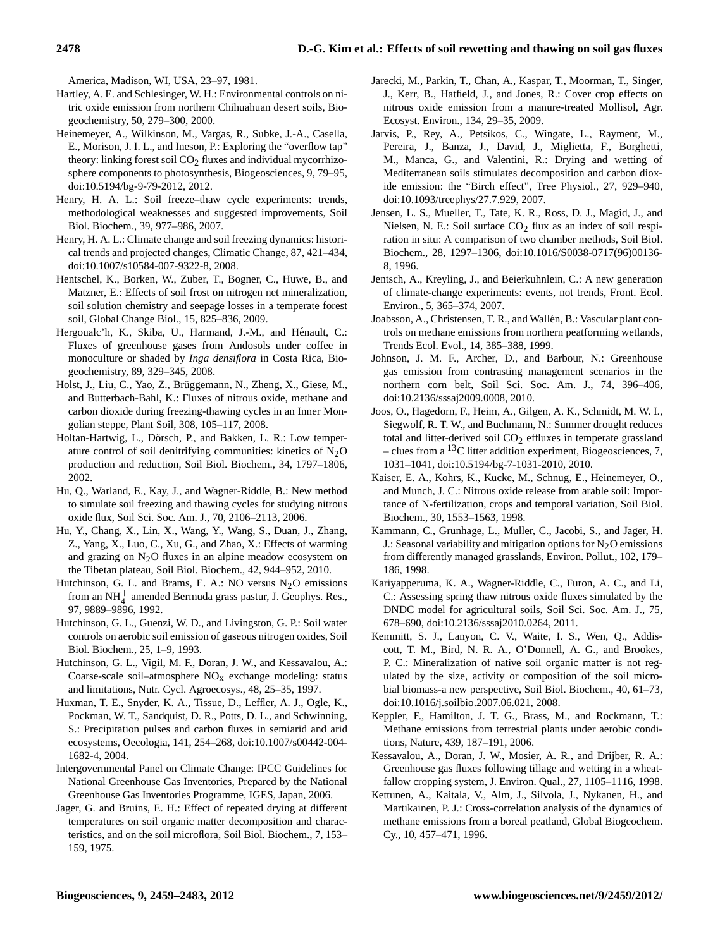America, Madison, WI, USA, 23–97, 1981.

- Hartley, A. E. and Schlesinger, W. H.: Environmental controls on nitric oxide emission from northern Chihuahuan desert soils, Biogeochemistry, 50, 279–300, 2000.
- Heinemeyer, A., Wilkinson, M., Vargas, R., Subke, J.-A., Casella, E., Morison, J. I. L., and Ineson, P.: Exploring the "overflow tap" theory: linking forest soil  $CO<sub>2</sub>$  fluxes and individual mycorrhizosphere components to photosynthesis, Biogeosciences, 9, 79–95, [doi:10.5194/bg-9-79-2012,](http://dx.doi.org/10.5194/bg-9-79-2012) 2012.
- Henry, H. A. L.: Soil freeze–thaw cycle experiments: trends, methodological weaknesses and suggested improvements, Soil Biol. Biochem., 39, 977–986, 2007.
- Henry, H. A. L.: Climate change and soil freezing dynamics: historical trends and projected changes, Climatic Change, 87, 421–434, [doi:10.1007/s10584-007-9322-8,](http://dx.doi.org/10.1007/s10584-007-9322-8) 2008.
- Hentschel, K., Borken, W., Zuber, T., Bogner, C., Huwe, B., and Matzner, E.: Effects of soil frost on nitrogen net mineralization, soil solution chemistry and seepage losses in a temperate forest soil, Global Change Biol., 15, 825–836, 2009.
- Hergoualc'h, K., Skiba, U., Harmand, J.-M., and Hénault, C.: Fluxes of greenhouse gases from Andosols under coffee in monoculture or shaded by *Inga densiflora* in Costa Rica, Biogeochemistry, 89, 329–345, 2008.
- Holst, J., Liu, C., Yao, Z., Brüggemann, N., Zheng, X., Giese, M., and Butterbach-Bahl, K.: Fluxes of nitrous oxide, methane and carbon dioxide during freezing-thawing cycles in an Inner Mongolian steppe, Plant Soil, 308, 105–117, 2008.
- Holtan-Hartwig, L., Dörsch, P., and Bakken, L. R.: Low temperature control of soil denitrifying communities: kinetics of  $N_2O$ production and reduction, Soil Biol. Biochem., 34, 1797–1806, 2002.
- Hu, Q., Warland, E., Kay, J., and Wagner-Riddle, B.: New method to simulate soil freezing and thawing cycles for studying nitrous oxide flux, Soil Sci. Soc. Am. J., 70, 2106–2113, 2006.
- Hu, Y., Chang, X., Lin, X., Wang, Y., Wang, S., Duan, J., Zhang, Z., Yang, X., Luo, C., Xu, G., and Zhao, X.: Effects of warming and grazing on  $N<sub>2</sub>O$  fluxes in an alpine meadow ecosystem on the Tibetan plateau, Soil Biol. Biochem., 42, 944–952, 2010.
- Hutchinson, G. L. and Brams, E. A.: NO versus  $N<sub>2</sub>O$  emissions from an NH<sup>+</sup> amended Bermuda grass pastur, J. Geophys. Res., 97, 9889–9896, 1992.
- Hutchinson, G. L., Guenzi, W. D., and Livingston, G. P.: Soil water controls on aerobic soil emission of gaseous nitrogen oxides, Soil Biol. Biochem., 25, 1–9, 1993.
- Hutchinson, G. L., Vigil, M. F., Doran, J. W., and Kessavalou, A.: Coarse-scale soil–atmosphere  $NO<sub>x</sub>$  exchange modeling: status and limitations, Nutr. Cycl. Agroecosys., 48, 25–35, 1997.
- Huxman, T. E., Snyder, K. A., Tissue, D., Leffler, A. J., Ogle, K., Pockman, W. T., Sandquist, D. R., Potts, D. L., and Schwinning, S.: Precipitation pulses and carbon fluxes in semiarid and arid ecosystems, Oecologia, 141, 254–268, [doi:10.1007/s00442-004-](http://dx.doi.org/10.1007/s00442-004-1682-4) [1682-4,](http://dx.doi.org/10.1007/s00442-004-1682-4) 2004.
- Intergovernmental Panel on Climate Change: IPCC Guidelines for National Greenhouse Gas Inventories, Prepared by the National Greenhouse Gas Inventories Programme, IGES, Japan, 2006.
- Jager, G. and Bruins, E. H.: Effect of repeated drying at different temperatures on soil organic matter decomposition and characteristics, and on the soil microflora, Soil Biol. Biochem., 7, 153– 159, 1975.
- Jarecki, M., Parkin, T., Chan, A., Kaspar, T., Moorman, T., Singer, J., Kerr, B., Hatfield, J., and Jones, R.: Cover crop effects on nitrous oxide emission from a manure-treated Mollisol, Agr. Ecosyst. Environ., 134, 29–35, 2009.
- Jarvis, P., Rey, A., Petsikos, C., Wingate, L., Rayment, M., Pereira, J., Banza, J., David, J., Miglietta, F., Borghetti, M., Manca, G., and Valentini, R.: Drying and wetting of Mediterranean soils stimulates decomposition and carbon dioxide emission: the "Birch effect", Tree Physiol., 27, 929–940, [doi:10.1093/treephys/27.7.929,](http://dx.doi.org/10.1093/treephys/27.7.929) 2007.
- Jensen, L. S., Mueller, T., Tate, K. R., Ross, D. J., Magid, J., and Nielsen, N. E.: Soil surface  $CO<sub>2</sub>$  flux as an index of soil respiration in situ: A comparison of two chamber methods, Soil Biol. Biochem., 28, 1297–1306, [doi:10.1016/S0038-0717\(96\)00136-](http://dx.doi.org/10.1016/S0038-0717(96)00136-8) [8,](http://dx.doi.org/10.1016/S0038-0717(96)00136-8) 1996.
- Jentsch, A., Kreyling, J., and Beierkuhnlein, C.: A new generation of climate-change experiments: events, not trends, Front. Ecol. Environ., 5, 365–374, 2007.
- Joabsson, A., Christensen, T. R., and Wallén, B.: Vascular plant controls on methane emissions from northern peatforming wetlands, Trends Ecol. Evol., 14, 385–388, 1999.
- Johnson, J. M. F., Archer, D., and Barbour, N.: Greenhouse gas emission from contrasting management scenarios in the northern corn belt, Soil Sci. Soc. Am. J., 74, 396–406, [doi:10.2136/sssaj2009.0008,](http://dx.doi.org/10.2136/sssaj2009.0008) 2010.
- Joos, O., Hagedorn, F., Heim, A., Gilgen, A. K., Schmidt, M. W. I., Siegwolf, R. T. W., and Buchmann, N.: Summer drought reduces total and litter-derived soil  $CO<sub>2</sub>$  effluxes in temperate grassland – clues from a  ${}^{13}C$  litter addition experiment, Biogeosciences, 7, 1031–1041, [doi:10.5194/bg-7-1031-2010,](http://dx.doi.org/10.5194/bg-7-1031-2010) 2010.
- Kaiser, E. A., Kohrs, K., Kucke, M., Schnug, E., Heinemeyer, O., and Munch, J. C.: Nitrous oxide release from arable soil: Importance of N-fertilization, crops and temporal variation, Soil Biol. Biochem., 30, 1553–1563, 1998.
- Kammann, C., Grunhage, L., Muller, C., Jacobi, S., and Jager, H. J.: Seasonal variability and mitigation options for  $N<sub>2</sub>O$  emissions from differently managed grasslands, Environ. Pollut., 102, 179– 186, 1998.
- Kariyapperuma, K. A., Wagner-Riddle, C., Furon, A. C., and Li, C.: Assessing spring thaw nitrous oxide fluxes simulated by the DNDC model for agricultural soils, Soil Sci. Soc. Am. J., 75, 678–690, [doi:10.2136/sssaj2010.0264,](http://dx.doi.org/10.2136/sssaj2010.0264) 2011.
- Kemmitt, S. J., Lanyon, C. V., Waite, I. S., Wen, Q., Addiscott, T. M., Bird, N. R. A., O'Donnell, A. G., and Brookes, P. C.: Mineralization of native soil organic matter is not regulated by the size, activity or composition of the soil microbial biomass-a new perspective, Soil Biol. Biochem., 40, 61–73, [doi:10.1016/j.soilbio.2007.06.021,](http://dx.doi.org/10.1016/j.soilbio.2007.06.021) 2008.
- Keppler, F., Hamilton, J. T. G., Brass, M., and Rockmann, T.: Methane emissions from terrestrial plants under aerobic conditions, Nature, 439, 187–191, 2006.
- Kessavalou, A., Doran, J. W., Mosier, A. R., and Drijber, R. A.: Greenhouse gas fluxes following tillage and wetting in a wheatfallow cropping system, J. Environ. Qual., 27, 1105–1116, 1998.
- Kettunen, A., Kaitala, V., Alm, J., Silvola, J., Nykanen, H., and Martikainen, P. J.: Cross-correlation analysis of the dynamics of methane emissions from a boreal peatland, Global Biogeochem. Cy., 10, 457–471, 1996.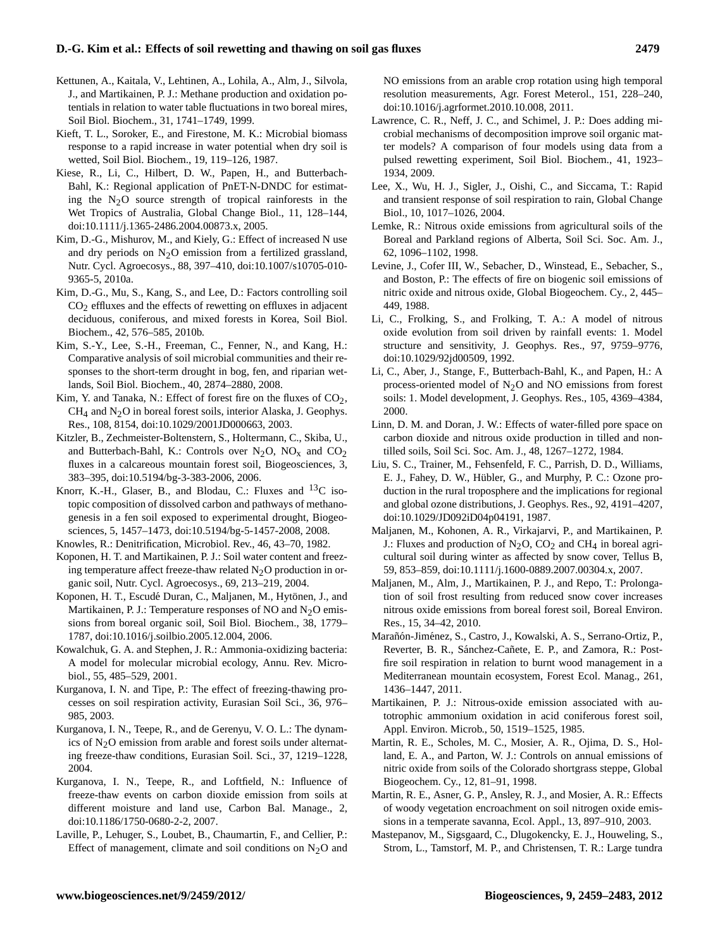- Kettunen, A., Kaitala, V., Lehtinen, A., Lohila, A., Alm, J., Silvola, J., and Martikainen, P. J.: Methane production and oxidation potentials in relation to water table fluctuations in two boreal mires, Soil Biol. Biochem., 31, 1741–1749, 1999.
- Kieft, T. L., Soroker, E., and Firestone, M. K.: Microbial biomass response to a rapid increase in water potential when dry soil is wetted, Soil Biol. Biochem., 19, 119–126, 1987.
- Kiese, R., Li, C., Hilbert, D. W., Papen, H., and Butterbach-Bahl, K.: Regional application of PnET-N-DNDC for estimating the  $N_2O$  source strength of tropical rainforests in the Wet Tropics of Australia, Global Change Biol., 11, 128–144, [doi:10.1111/j.1365-2486.2004.00873.x,](http://dx.doi.org/10.1111/j.1365-2486.2004.00873.x) 2005.
- Kim, D.-G., Mishurov, M., and Kiely, G.: Effect of increased N use and dry periods on  $N<sub>2</sub>O$  emission from a fertilized grassland, Nutr. Cycl. Agroecosys., 88, 397–410, [doi:10.1007/s10705-010-](http://dx.doi.org/10.1007/s10705-010-9365-5) [9365-5,](http://dx.doi.org/10.1007/s10705-010-9365-5) 2010a.
- Kim, D.-G., Mu, S., Kang, S., and Lee, D.: Factors controlling soil  $CO<sub>2</sub>$  effluxes and the effects of rewetting on effluxes in adjacent deciduous, coniferous, and mixed forests in Korea, Soil Biol. Biochem., 42, 576–585, 2010b.
- Kim, S.-Y., Lee, S.-H., Freeman, C., Fenner, N., and Kang, H.: Comparative analysis of soil microbial communities and their responses to the short-term drought in bog, fen, and riparian wetlands, Soil Biol. Biochem., 40, 2874–2880, 2008.
- Kim, Y. and Tanaka, N.: Effect of forest fire on the fluxes of  $CO<sub>2</sub>$ ,  $CH<sub>4</sub>$  and N<sub>2</sub>O in boreal forest soils, interior Alaska, J. Geophys. Res., 108, 8154, [doi:10.1029/2001JD000663,](http://dx.doi.org/10.1029/2001JD000663) 2003.
- Kitzler, B., Zechmeister-Boltenstern, S., Holtermann, C., Skiba, U., and Butterbach-Bahl, K.: Controls over  $N_2O$ ,  $NO<sub>x</sub>$  and  $CO<sub>2</sub>$ fluxes in a calcareous mountain forest soil, Biogeosciences, 3, 383–395, [doi:10.5194/bg-3-383-2006,](http://dx.doi.org/10.5194/bg-3-383-2006) 2006.
- Knorr, K.-H., Glaser, B., and Blodau, C.: Fluxes and  ${}^{13}C$  isotopic composition of dissolved carbon and pathways of methanogenesis in a fen soil exposed to experimental drought, Biogeosciences, 5, 1457–1473, [doi:10.5194/bg-5-1457-2008,](http://dx.doi.org/10.5194/bg-5-1457-2008) 2008.
- Knowles, R.: Denitrification, Microbiol. Rev., 46, 43–70, 1982.
- Koponen, H. T. and Martikainen, P. J.: Soil water content and freezing temperature affect freeze-thaw related  $N_2O$  production in organic soil, Nutr. Cycl. Agroecosys., 69, 213–219, 2004.
- Koponen, H. T., Escudé Duran, C., Maljanen, M., Hytönen, J., and Martikainen, P. J.: Temperature responses of NO and  $N<sub>2</sub>O$  emissions from boreal organic soil, Soil Biol. Biochem., 38, 1779– 1787, [doi:10.1016/j.soilbio.2005.12.004,](http://dx.doi.org/10.1016/j.soilbio.2005.12.004) 2006.
- Kowalchuk, G. A. and Stephen, J. R.: Ammonia-oxidizing bacteria: A model for molecular microbial ecology, Annu. Rev. Microbiol., 55, 485–529, 2001.
- Kurganova, I. N. and Tipe, P.: The effect of freezing-thawing processes on soil respiration activity, Eurasian Soil Sci., 36, 976– 985, 2003.
- Kurganova, I. N., Teepe, R., and de Gerenyu, V. O. L.: The dynamics of  $N<sub>2</sub>O$  emission from arable and forest soils under alternating freeze-thaw conditions, Eurasian Soil. Sci., 37, 1219–1228, 2004.
- Kurganova, I. N., Teepe, R., and Loftfield, N.: Influence of freeze-thaw events on carbon dioxide emission from soils at different moisture and land use, Carbon Bal. Manage., 2, [doi:10.1186/1750-0680-2-2,](http://dx.doi.org/10.1186/1750-0680-2-2) 2007.
- Laville, P., Lehuger, S., Loubet, B., Chaumartin, F., and Cellier, P.: Effect of management, climate and soil conditions on  $N_2O$  and

NO emissions from an arable crop rotation using high temporal resolution measurements, Agr. Forest Meterol., 151, 228–240, [doi:10.1016/j.agrformet.2010.10.008,](http://dx.doi.org/10.1016/j.agrformet.2010.10.008) 2011.

- Lawrence, C. R., Neff, J. C., and Schimel, J. P.: Does adding microbial mechanisms of decomposition improve soil organic matter models? A comparison of four models using data from a pulsed rewetting experiment, Soil Biol. Biochem., 41, 1923– 1934, 2009.
- Lee, X., Wu, H. J., Sigler, J., Oishi, C., and Siccama, T.: Rapid and transient response of soil respiration to rain, Global Change Biol., 10, 1017–1026, 2004.
- Lemke, R.: Nitrous oxide emissions from agricultural soils of the Boreal and Parkland regions of Alberta, Soil Sci. Soc. Am. J., 62, 1096–1102, 1998.
- Levine, J., Cofer III, W., Sebacher, D., Winstead, E., Sebacher, S., and Boston, P.: The effects of fire on biogenic soil emissions of nitric oxide and nitrous oxide, Global Biogeochem. Cy., 2, 445– 449, 1988.
- Li, C., Frolking, S., and Frolking, T. A.: A model of nitrous oxide evolution from soil driven by rainfall events: 1. Model structure and sensitivity, J. Geophys. Res., 97, 9759–9776, [doi:10.1029/92jd00509,](http://dx.doi.org/10.1029/92jd00509) 1992.
- Li, C., Aber, J., Stange, F., Butterbach-Bahl, K., and Papen, H.: A process-oriented model of  $N_2O$  and NO emissions from forest soils: 1. Model development, J. Geophys. Res., 105, 4369–4384, 2000.
- Linn, D. M. and Doran, J. W.: Effects of water-filled pore space on carbon dioxide and nitrous oxide production in tilled and nontilled soils, Soil Sci. Soc. Am. J., 48, 1267–1272, 1984.
- Liu, S. C., Trainer, M., Fehsenfeld, F. C., Parrish, D. D., Williams, E. J., Fahey, D. W., Hübler, G., and Murphy, P. C.: Ozone production in the rural troposphere and the implications for regional and global ozone distributions, J. Geophys. Res., 92, 4191–4207, [doi:10.1029/JD092iD04p04191,](http://dx.doi.org/10.1029/JD092iD04p04191) 1987.
- Maljanen, M., Kohonen, A. R., Virkajarvi, P., and Martikainen, P. J.: Fluxes and production of  $N_2O$ ,  $CO_2$  and  $CH_4$  in boreal agricultural soil during winter as affected by snow cover, Tellus B, 59, 853–859, [doi:10.1111/j.1600-0889.2007.00304.x,](http://dx.doi.org/10.1111/j.1600-0889.2007.00304.x) 2007.
- Maljanen, M., Alm, J., Martikainen, P. J., and Repo, T.: Prolongation of soil frost resulting from reduced snow cover increases nitrous oxide emissions from boreal forest soil, Boreal Environ. Res., 15, 34–42, 2010.
- Marañón-Jiménez, S., Castro, J., Kowalski, A. S., Serrano-Ortiz, P., Reverter, B. R., Sánchez-Cañete, E. P., and Zamora, R.: Postfire soil respiration in relation to burnt wood management in a Mediterranean mountain ecosystem, Forest Ecol. Manag., 261, 1436–1447, 2011.
- Martikainen, P. J.: Nitrous-oxide emission associated with autotrophic ammonium oxidation in acid coniferous forest soil, Appl. Environ. Microb., 50, 1519–1525, 1985.
- Martin, R. E., Scholes, M. C., Mosier, A. R., Ojima, D. S., Holland, E. A., and Parton, W. J.: Controls on annual emissions of nitric oxide from soils of the Colorado shortgrass steppe, Global Biogeochem. Cy., 12, 81–91, 1998.
- Martin, R. E., Asner, G. P., Ansley, R. J., and Mosier, A. R.: Effects of woody vegetation encroachment on soil nitrogen oxide emissions in a temperate savanna, Ecol. Appl., 13, 897–910, 2003.
- Mastepanov, M., Sigsgaard, C., Dlugokencky, E. J., Houweling, S., Strom, L., Tamstorf, M. P., and Christensen, T. R.: Large tundra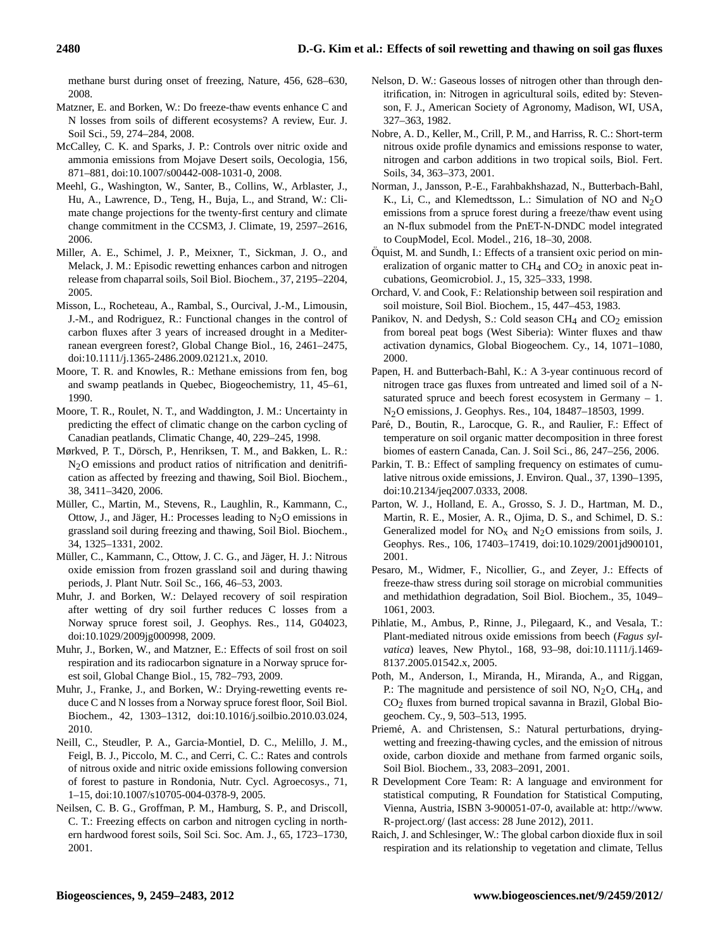methane burst during onset of freezing, Nature, 456, 628–630, 2008.

- Matzner, E. and Borken, W.: Do freeze-thaw events enhance C and N losses from soils of different ecosystems? A review, Eur. J. Soil Sci., 59, 274–284, 2008.
- McCalley, C. K. and Sparks, J. P.: Controls over nitric oxide and ammonia emissions from Mojave Desert soils, Oecologia, 156, 871–881, [doi:10.1007/s00442-008-1031-0,](http://dx.doi.org/10.1007/s00442-008-1031-0) 2008.
- Meehl, G., Washington, W., Santer, B., Collins, W., Arblaster, J., Hu, A., Lawrence, D., Teng, H., Buja, L., and Strand, W.: Climate change projections for the twenty-first century and climate change commitment in the CCSM3, J. Climate, 19, 2597–2616, 2006.
- Miller, A. E., Schimel, J. P., Meixner, T., Sickman, J. O., and Melack, J. M.: Episodic rewetting enhances carbon and nitrogen release from chaparral soils, Soil Biol. Biochem., 37, 2195–2204, 2005.
- Misson, L., Rocheteau, A., Rambal, S., Ourcival, J.-M., Limousin, J.-M., and Rodriguez, R.: Functional changes in the control of carbon fluxes after 3 years of increased drought in a Mediterranean evergreen forest?, Global Change Biol., 16, 2461–2475, [doi:10.1111/j.1365-2486.2009.02121.x,](http://dx.doi.org/10.1111/j.1365-2486.2009.02121.x) 2010.
- Moore, T. R. and Knowles, R.: Methane emissions from fen, bog and swamp peatlands in Quebec, Biogeochemistry, 11, 45–61, 1990.
- Moore, T. R., Roulet, N. T., and Waddington, J. M.: Uncertainty in predicting the effect of climatic change on the carbon cycling of Canadian peatlands, Climatic Change, 40, 229–245, 1998.
- Mørkved, P. T., Dörsch, P., Henriksen, T. M., and Bakken, L. R.:  $N<sub>2</sub>O$  emissions and product ratios of nitrification and denitrification as affected by freezing and thawing, Soil Biol. Biochem., 38, 3411–3420, 2006.
- Müller, C., Martin, M., Stevens, R., Laughlin, R., Kammann, C., Ottow, J., and Jäger, H.: Processes leading to  $N<sub>2</sub>O$  emissions in grassland soil during freezing and thawing, Soil Biol. Biochem., 34, 1325–1331, 2002.
- Müller, C., Kammann, C., Ottow, J. C. G., and Jäger, H. J.: Nitrous oxide emission from frozen grassland soil and during thawing periods, J. Plant Nutr. Soil Sc., 166, 46–53, 2003.
- Muhr, J. and Borken, W.: Delayed recovery of soil respiration after wetting of dry soil further reduces C losses from a Norway spruce forest soil, J. Geophys. Res., 114, G04023, [doi:10.1029/2009jg000998,](http://dx.doi.org/10.1029/2009jg000998) 2009.
- Muhr, J., Borken, W., and Matzner, E.: Effects of soil frost on soil respiration and its radiocarbon signature in a Norway spruce forest soil, Global Change Biol., 15, 782–793, 2009.
- Muhr, J., Franke, J., and Borken, W.: Drying-rewetting events reduce C and N losses from a Norway spruce forest floor, Soil Biol. Biochem., 42, 1303–1312, [doi:10.1016/j.soilbio.2010.03.024,](http://dx.doi.org/10.1016/j.soilbio.2010.03.024) 2010.
- Neill, C., Steudler, P. A., Garcia-Montiel, D. C., Melillo, J. M., Feigl, B. J., Piccolo, M. C., and Cerri, C. C.: Rates and controls of nitrous oxide and nitric oxide emissions following conversion of forest to pasture in Rondonia, Nutr. Cycl. Agroecosys., 71, 1–15, [doi:10.1007/s10705-004-0378-9,](http://dx.doi.org/10.1007/s10705-004-0378-9) 2005.
- Neilsen, C. B. G., Groffman, P. M., Hamburg, S. P., and Driscoll, C. T.: Freezing effects on carbon and nitrogen cycling in northern hardwood forest soils, Soil Sci. Soc. Am. J., 65, 1723–1730, 2001.
- Nelson, D. W.: Gaseous losses of nitrogen other than through denitrification, in: Nitrogen in agricultural soils, edited by: Stevenson, F. J., American Society of Agronomy, Madison, WI, USA, 327–363, 1982.
- Nobre, A. D., Keller, M., Crill, P. M., and Harriss, R. C.: Short-term nitrous oxide profile dynamics and emissions response to water, nitrogen and carbon additions in two tropical soils, Biol. Fert. Soils, 34, 363–373, 2001.
- Norman, J., Jansson, P.-E., Farahbakhshazad, N., Butterbach-Bahl, K., Li, C., and Klemedtsson, L.: Simulation of NO and  $N_2O$ emissions from a spruce forest during a freeze/thaw event using an N-flux submodel from the PnET-N-DNDC model integrated to CoupModel, Ecol. Model., 216, 18–30, 2008.
- Oquist, M. and Sundh, I.: Effects of a transient oxic period on min- ¨ eralization of organic matter to  $CH<sub>4</sub>$  and  $CO<sub>2</sub>$  in anoxic peat incubations, Geomicrobiol. J., 15, 325–333, 1998.
- Orchard, V. and Cook, F.: Relationship between soil respiration and soil moisture, Soil Biol. Biochem., 15, 447–453, 1983.
- Panikov, N. and Dedysh, S.: Cold season  $CH<sub>4</sub>$  and  $CO<sub>2</sub>$  emission from boreal peat bogs (West Siberia): Winter fluxes and thaw activation dynamics, Global Biogeochem. Cy., 14, 1071–1080, 2000.
- Papen, H. and Butterbach-Bahl, K.: A 3-year continuous record of nitrogen trace gas fluxes from untreated and limed soil of a Nsaturated spruce and beech forest ecosystem in Germany – 1. N2O emissions, J. Geophys. Res., 104, 18487–18503, 1999.
- Paré, D., Boutin, R., Larocque, G. R., and Raulier, F.: Effect of temperature on soil organic matter decomposition in three forest biomes of eastern Canada, Can. J. Soil Sci., 86, 247–256, 2006.
- Parkin, T. B.: Effect of sampling frequency on estimates of cumulative nitrous oxide emissions, J. Environ. Qual., 37, 1390–1395, [doi:10.2134/jeq2007.0333,](http://dx.doi.org/10.2134/jeq2007.0333) 2008.
- Parton, W. J., Holland, E. A., Grosso, S. J. D., Hartman, M. D., Martin, R. E., Mosier, A. R., Ojima, D. S., and Schimel, D. S.: Generalized model for  $NO<sub>x</sub>$  and  $N<sub>2</sub>O$  emissions from soils, J. Geophys. Res., 106, 17403–17419, [doi:10.1029/2001jd900101,](http://dx.doi.org/10.1029/2001jd900101) 2001.
- Pesaro, M., Widmer, F., Nicollier, G., and Zeyer, J.: Effects of freeze-thaw stress during soil storage on microbial communities and methidathion degradation, Soil Biol. Biochem., 35, 1049– 1061, 2003.
- Pihlatie, M., Ambus, P., Rinne, J., Pilegaard, K., and Vesala, T.: Plant-mediated nitrous oxide emissions from beech (*Fagus sylvatica*) leaves, New Phytol., 168, 93–98, [doi:10.1111/j.1469-](http://dx.doi.org/10.1111/j.1469-8137.2005.01542.x) [8137.2005.01542.x,](http://dx.doi.org/10.1111/j.1469-8137.2005.01542.x) 2005.
- Poth, M., Anderson, I., Miranda, H., Miranda, A., and Riggan, P.: The magnitude and persistence of soil NO,  $N_2O$ , CH<sub>4</sub>, and CO2 fluxes from burned tropical savanna in Brazil, Global Biogeochem. Cy., 9, 503–513, 1995.
- Priemé, A. and Christensen, S.: Natural perturbations, dryingwetting and freezing-thawing cycles, and the emission of nitrous oxide, carbon dioxide and methane from farmed organic soils, Soil Biol. Biochem., 33, 2083–2091, 2001.
- R Development Core Team: R: A language and environment for statistical computing, R Foundation for Statistical Computing, Vienna, Austria, ISBN 3-900051-07-0, available at: [http://www.](http://www.R-project.org/) [R-project.org/](http://www.R-project.org/) (last access: 28 June 2012), 2011.
- Raich, J. and Schlesinger, W.: The global carbon dioxide flux in soil respiration and its relationship to vegetation and climate, Tellus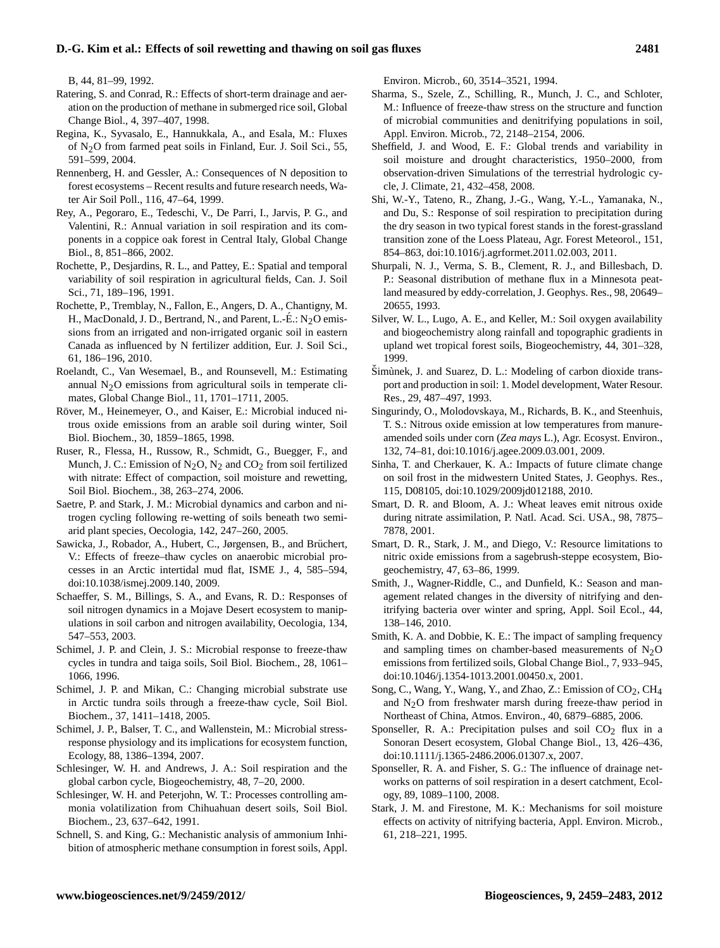B, 44, 81–99, 1992.

- Ratering, S. and Conrad, R.: Effects of short-term drainage and aeration on the production of methane in submerged rice soil, Global Change Biol., 4, 397–407, 1998.
- Regina, K., Syvasalo, E., Hannukkala, A., and Esala, M.: Fluxes of N2O from farmed peat soils in Finland, Eur. J. Soil Sci., 55, 591–599, 2004.
- Rennenberg, H. and Gessler, A.: Consequences of N deposition to forest ecosystems – Recent results and future research needs, Water Air Soil Poll., 116, 47–64, 1999.
- Rey, A., Pegoraro, E., Tedeschi, V., De Parri, I., Jarvis, P. G., and Valentini, R.: Annual variation in soil respiration and its components in a coppice oak forest in Central Italy, Global Change Biol., 8, 851–866, 2002.
- Rochette, P., Desjardins, R. L., and Pattey, E.: Spatial and temporal variability of soil respiration in agricultural fields, Can. J. Soil Sci., 71, 189–196, 1991.
- Rochette, P., Tremblay, N., Fallon, E., Angers, D. A., Chantigny, M. H., MacDonald, J. D., Bertrand, N., and Parent, L.-É.:  $N_2O$  emissions from an irrigated and non-irrigated organic soil in eastern Canada as influenced by N fertilizer addition, Eur. J. Soil Sci., 61, 186–196, 2010.
- Roelandt, C., Van Wesemael, B., and Rounsevell, M.: Estimating annual  $N<sub>2</sub>O$  emissions from agricultural soils in temperate climates, Global Change Biol., 11, 1701–1711, 2005.
- Röver, M., Heinemeyer, O., and Kaiser, E.: Microbial induced nitrous oxide emissions from an arable soil during winter, Soil Biol. Biochem., 30, 1859–1865, 1998.
- Ruser, R., Flessa, H., Russow, R., Schmidt, G., Buegger, F., and Munch, J. C.: Emission of  $N_2O$ ,  $N_2$  and  $CO_2$  from soil fertilized with nitrate: Effect of compaction, soil moisture and rewetting, Soil Biol. Biochem., 38, 263–274, 2006.
- Saetre, P. and Stark, J. M.: Microbial dynamics and carbon and nitrogen cycling following re-wetting of soils beneath two semiarid plant species, Oecologia, 142, 247–260, 2005.
- Sawicka, J., Robador, A., Hubert, C., Jørgensen, B., and Brüchert, V.: Effects of freeze–thaw cycles on anaerobic microbial processes in an Arctic intertidal mud flat, ISME J., 4, 585–594, [doi:10.1038/ismej.2009.140,](http://dx.doi.org/10.1038/ismej.2009.140) 2009.
- Schaeffer, S. M., Billings, S. A., and Evans, R. D.: Responses of soil nitrogen dynamics in a Mojave Desert ecosystem to manipulations in soil carbon and nitrogen availability, Oecologia, 134, 547–553, 2003.
- Schimel, J. P. and Clein, J. S.: Microbial response to freeze-thaw cycles in tundra and taiga soils, Soil Biol. Biochem., 28, 1061– 1066, 1996.
- Schimel, J. P. and Mikan, C.: Changing microbial substrate use in Arctic tundra soils through a freeze-thaw cycle, Soil Biol. Biochem., 37, 1411–1418, 2005.
- Schimel, J. P., Balser, T. C., and Wallenstein, M.: Microbial stressresponse physiology and its implications for ecosystem function, Ecology, 88, 1386–1394, 2007.
- Schlesinger, W. H. and Andrews, J. A.: Soil respiration and the global carbon cycle, Biogeochemistry, 48, 7–20, 2000.
- Schlesinger, W. H. and Peterjohn, W. T.: Processes controlling ammonia volatilization from Chihuahuan desert soils, Soil Biol. Biochem., 23, 637–642, 1991.
- Schnell, S. and King, G.: Mechanistic analysis of ammonium Inhibition of atmospheric methane consumption in forest soils, Appl.

Environ. Microb., 60, 3514–3521, 1994.

- Sharma, S., Szele, Z., Schilling, R., Munch, J. C., and Schloter, M.: Influence of freeze-thaw stress on the structure and function of microbial communities and denitrifying populations in soil, Appl. Environ. Microb., 72, 2148–2154, 2006.
- Sheffield, J. and Wood, E. F.: Global trends and variability in soil moisture and drought characteristics, 1950–2000, from observation-driven Simulations of the terrestrial hydrologic cycle, J. Climate, 21, 432–458, 2008.
- Shi, W.-Y., Tateno, R., Zhang, J.-G., Wang, Y.-L., Yamanaka, N., and Du, S.: Response of soil respiration to precipitation during the dry season in two typical forest stands in the forest-grassland transition zone of the Loess Plateau, Agr. Forest Meteorol., 151, 854–863, [doi:10.1016/j.agrformet.2011.02.003,](http://dx.doi.org/10.1016/j.agrformet.2011.02.003) 2011.
- Shurpali, N. J., Verma, S. B., Clement, R. J., and Billesbach, D. P.: Seasonal distribution of methane flux in a Minnesota peatland measured by eddy-correlation, J. Geophys. Res., 98, 20649– 20655, 1993.
- Silver, W. L., Lugo, A. E., and Keller, M.: Soil oxygen availability and biogeochemistry along rainfall and topographic gradients in upland wet tropical forest soils, Biogeochemistry, 44, 301–328, 1999.
- Simùnek, J. and Suarez, D. L.: Modeling of carbon dioxide transport and production in soil: 1. Model development, Water Resour. Res., 29, 487–497, 1993.
- Singurindy, O., Molodovskaya, M., Richards, B. K., and Steenhuis, T. S.: Nitrous oxide emission at low temperatures from manureamended soils under corn (*Zea mays* L.), Agr. Ecosyst. Environ., 132, 74–81, [doi:10.1016/j.agee.2009.03.001,](http://dx.doi.org/10.1016/j.agee.2009.03.001) 2009.
- Sinha, T. and Cherkauer, K. A.: Impacts of future climate change on soil frost in the midwestern United States, J. Geophys. Res., 115, D08105, [doi:10.1029/2009jd012188,](http://dx.doi.org/10.1029/2009jd012188) 2010.
- Smart, D. R. and Bloom, A. J.: Wheat leaves emit nitrous oxide during nitrate assimilation, P. Natl. Acad. Sci. USA., 98, 7875– 7878, 2001.
- Smart, D. R., Stark, J. M., and Diego, V.: Resource limitations to nitric oxide emissions from a sagebrush-steppe ecosystem, Biogeochemistry, 47, 63–86, 1999.
- Smith, J., Wagner-Riddle, C., and Dunfield, K.: Season and management related changes in the diversity of nitrifying and denitrifying bacteria over winter and spring, Appl. Soil Ecol., 44, 138–146, 2010.
- Smith, K. A. and Dobbie, K. E.: The impact of sampling frequency and sampling times on chamber-based measurements of  $N<sub>2</sub>O$ emissions from fertilized soils, Global Change Biol., 7, 933–945, [doi:10.1046/j.1354-1013.2001.00450.x,](http://dx.doi.org/10.1046/j.1354-1013.2001.00450.x) 2001.
- Song, C., Wang, Y., Wang, Y., and Zhao, Z.: Emission of  $CO_2$ , CH<sub>4</sub> and  $N<sub>2</sub>O$  from freshwater marsh during freeze-thaw period in Northeast of China, Atmos. Environ., 40, 6879–6885, 2006.
- Sponseller, R. A.: Precipitation pulses and soil  $CO<sub>2</sub>$  flux in a Sonoran Desert ecosystem, Global Change Biol., 13, 426–436, [doi:10.1111/j.1365-2486.2006.01307.x,](http://dx.doi.org/10.1111/j.1365-2486.2006.01307.x) 2007.
- Sponseller, R. A. and Fisher, S. G.: The influence of drainage networks on patterns of soil respiration in a desert catchment, Ecology, 89, 1089–1100, 2008.
- Stark, J. M. and Firestone, M. K.: Mechanisms for soil moisture effects on activity of nitrifying bacteria, Appl. Environ. Microb., 61, 218–221, 1995.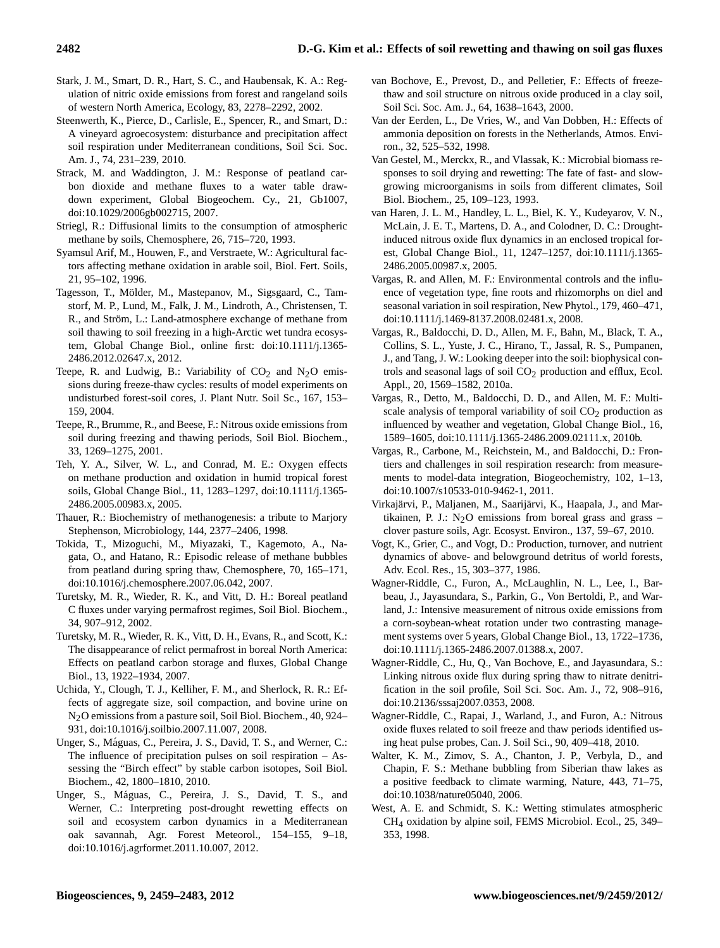- Stark, J. M., Smart, D. R., Hart, S. C., and Haubensak, K. A.: Regulation of nitric oxide emissions from forest and rangeland soils of western North America, Ecology, 83, 2278–2292, 2002.
- Steenwerth, K., Pierce, D., Carlisle, E., Spencer, R., and Smart, D.: A vineyard agroecosystem: disturbance and precipitation affect soil respiration under Mediterranean conditions, Soil Sci. Soc. Am. J., 74, 231–239, 2010.
- Strack, M. and Waddington, J. M.: Response of peatland carbon dioxide and methane fluxes to a water table drawdown experiment, Global Biogeochem. Cy., 21, Gb1007, [doi:10.1029/2006gb002715,](http://dx.doi.org/10.1029/2006gb002715) 2007.
- Striegl, R.: Diffusional limits to the consumption of atmospheric methane by soils, Chemosphere, 26, 715–720, 1993.
- Syamsul Arif, M., Houwen, F., and Verstraete, W.: Agricultural factors affecting methane oxidation in arable soil, Biol. Fert. Soils, 21, 95–102, 1996.
- Tagesson, T., Mölder, M., Mastepanov, M., Sigsgaard, C., Tamstorf, M. P., Lund, M., Falk, J. M., Lindroth, A., Christensen, T. R., and Ström, L.: Land-atmosphere exchange of methane from soil thawing to soil freezing in a high-Arctic wet tundra ecosystem, Global Change Biol., online first: [doi:10.1111/j.1365-](http://dx.doi.org/10.1111/j.1365-2486.2012.02647.x) [2486.2012.02647.x,](http://dx.doi.org/10.1111/j.1365-2486.2012.02647.x) 2012.
- Teepe, R. and Ludwig, B.: Variability of  $CO<sub>2</sub>$  and  $N<sub>2</sub>O$  emissions during freeze-thaw cycles: results of model experiments on undisturbed forest-soil cores, J. Plant Nutr. Soil Sc., 167, 153– 159, 2004.
- Teepe, R., Brumme, R., and Beese, F.: Nitrous oxide emissions from soil during freezing and thawing periods, Soil Biol. Biochem., 33, 1269–1275, 2001.
- Teh, Y. A., Silver, W. L., and Conrad, M. E.: Oxygen effects on methane production and oxidation in humid tropical forest soils, Global Change Biol., 11, 1283–1297, [doi:10.1111/j.1365-](http://dx.doi.org/10.1111/j.1365-2486.2005.00983.x) [2486.2005.00983.x,](http://dx.doi.org/10.1111/j.1365-2486.2005.00983.x) 2005.
- Thauer, R.: Biochemistry of methanogenesis: a tribute to Marjory Stephenson, Microbiology, 144, 2377–2406, 1998.
- Tokida, T., Mizoguchi, M., Miyazaki, T., Kagemoto, A., Nagata, O., and Hatano, R.: Episodic release of methane bubbles from peatland during spring thaw, Chemosphere, 70, 165–171, [doi:10.1016/j.chemosphere.2007.06.042,](http://dx.doi.org/10.1016/j.chemosphere.2007.06.042) 2007.
- Turetsky, M. R., Wieder, R. K., and Vitt, D. H.: Boreal peatland C fluxes under varying permafrost regimes, Soil Biol. Biochem., 34, 907–912, 2002.
- Turetsky, M. R., Wieder, R. K., Vitt, D. H., Evans, R., and Scott, K.: The disappearance of relict permafrost in boreal North America: Effects on peatland carbon storage and fluxes, Global Change Biol., 13, 1922–1934, 2007.
- Uchida, Y., Clough, T. J., Kelliher, F. M., and Sherlock, R. R.: Effects of aggregate size, soil compaction, and bovine urine on N2O emissions from a pasture soil, Soil Biol. Biochem., 40, 924– 931, [doi:10.1016/j.soilbio.2007.11.007,](http://dx.doi.org/10.1016/j.soilbio.2007.11.007) 2008.
- Unger, S., Máguas, C., Pereira, J. S., David, T. S., and Werner, C.: The influence of precipitation pulses on soil respiration – Assessing the "Birch effect" by stable carbon isotopes, Soil Biol. Biochem., 42, 1800–1810, 2010.
- Unger, S., Máguas, C., Pereira, J. S., David, T. S., and Werner, C.: Interpreting post-drought rewetting effects on soil and ecosystem carbon dynamics in a Mediterranean oak savannah, Agr. Forest Meteorol., 154–155, 9–18, [doi:10.1016/j.agrformet.2011.10.007,](http://dx.doi.org/10.1016/j.agrformet.2011.10.007) 2012.
- van Bochove, E., Prevost, D., and Pelletier, F.: Effects of freezethaw and soil structure on nitrous oxide produced in a clay soil, Soil Sci. Soc. Am. J., 64, 1638–1643, 2000.
- Van der Eerden, L., De Vries, W., and Van Dobben, H.: Effects of ammonia deposition on forests in the Netherlands, Atmos. Environ., 32, 525–532, 1998.
- Van Gestel, M., Merckx, R., and Vlassak, K.: Microbial biomass responses to soil drying and rewetting: The fate of fast- and slowgrowing microorganisms in soils from different climates, Soil Biol. Biochem., 25, 109–123, 1993.
- van Haren, J. L. M., Handley, L. L., Biel, K. Y., Kudeyarov, V. N., McLain, J. E. T., Martens, D. A., and Colodner, D. C.: Droughtinduced nitrous oxide flux dynamics in an enclosed tropical forest, Global Change Biol., 11, 1247–1257, [doi:10.1111/j.1365-](http://dx.doi.org/10.1111/j.1365-2486.2005.00987.x) [2486.2005.00987.x,](http://dx.doi.org/10.1111/j.1365-2486.2005.00987.x) 2005.
- Vargas, R. and Allen, M. F.: Environmental controls and the influence of vegetation type, fine roots and rhizomorphs on diel and seasonal variation in soil respiration, New Phytol., 179, 460–471, [doi:10.1111/j.1469-8137.2008.02481.x,](http://dx.doi.org/10.1111/j.1469-8137.2008.02481.x) 2008.
- Vargas, R., Baldocchi, D. D., Allen, M. F., Bahn, M., Black, T. A., Collins, S. L., Yuste, J. C., Hirano, T., Jassal, R. S., Pumpanen, J., and Tang, J. W.: Looking deeper into the soil: biophysical controls and seasonal lags of soil  $CO<sub>2</sub>$  production and efflux, Ecol. Appl., 20, 1569–1582, 2010a.
- Vargas, R., Detto, M., Baldocchi, D. D., and Allen, M. F.: Multiscale analysis of temporal variability of soil  $CO<sub>2</sub>$  production as influenced by weather and vegetation, Global Change Biol., 16, 1589–1605, [doi:10.1111/j.1365-2486.2009.02111.x,](http://dx.doi.org/10.1111/j.1365-2486.2009.02111.x) 2010b.
- Vargas, R., Carbone, M., Reichstein, M., and Baldocchi, D.: Frontiers and challenges in soil respiration research: from measurements to model-data integration, Biogeochemistry, 102, 1–13, [doi:10.1007/s10533-010-9462-1,](http://dx.doi.org/10.1007/s10533-010-9462-1) 2011.
- Virkajärvi, P., Maljanen, M., Saarijärvi, K., Haapala, J., and Martikainen, P. J.:  $N<sub>2</sub>O$  emissions from boreal grass and grass – clover pasture soils, Agr. Ecosyst. Environ., 137, 59–67, 2010.
- Vogt, K., Grier, C., and Vogt, D.: Production, turnover, and nutrient dynamics of above- and belowground detritus of world forests, Adv. Ecol. Res., 15, 303–377, 1986.
- Wagner-Riddle, C., Furon, A., McLaughlin, N. L., Lee, I., Barbeau, J., Jayasundara, S., Parkin, G., Von Bertoldi, P., and Warland, J.: Intensive measurement of nitrous oxide emissions from a corn-soybean-wheat rotation under two contrasting management systems over 5 years, Global Change Biol., 13, 1722–1736, [doi:10.1111/j.1365-2486.2007.01388.x,](http://dx.doi.org/10.1111/j.1365-2486.2007.01388.x) 2007.
- Wagner-Riddle, C., Hu, Q., Van Bochove, E., and Jayasundara, S.: Linking nitrous oxide flux during spring thaw to nitrate denitrification in the soil profile, Soil Sci. Soc. Am. J., 72, 908–916, [doi:10.2136/sssaj2007.0353,](http://dx.doi.org/10.2136/sssaj2007.0353) 2008.
- Wagner-Riddle, C., Rapai, J., Warland, J., and Furon, A.: Nitrous oxide fluxes related to soil freeze and thaw periods identified using heat pulse probes, Can. J. Soil Sci., 90, 409–418, 2010.
- Walter, K. M., Zimov, S. A., Chanton, J. P., Verbyla, D., and Chapin, F. S.: Methane bubbling from Siberian thaw lakes as a positive feedback to climate warming, Nature, 443, 71–75, [doi:10.1038/nature05040,](http://dx.doi.org/10.1038/nature05040) 2006.
- West, A. E. and Schmidt, S. K.: Wetting stimulates atmospheric CH4 oxidation by alpine soil, FEMS Microbiol. Ecol., 25, 349– 353, 1998.